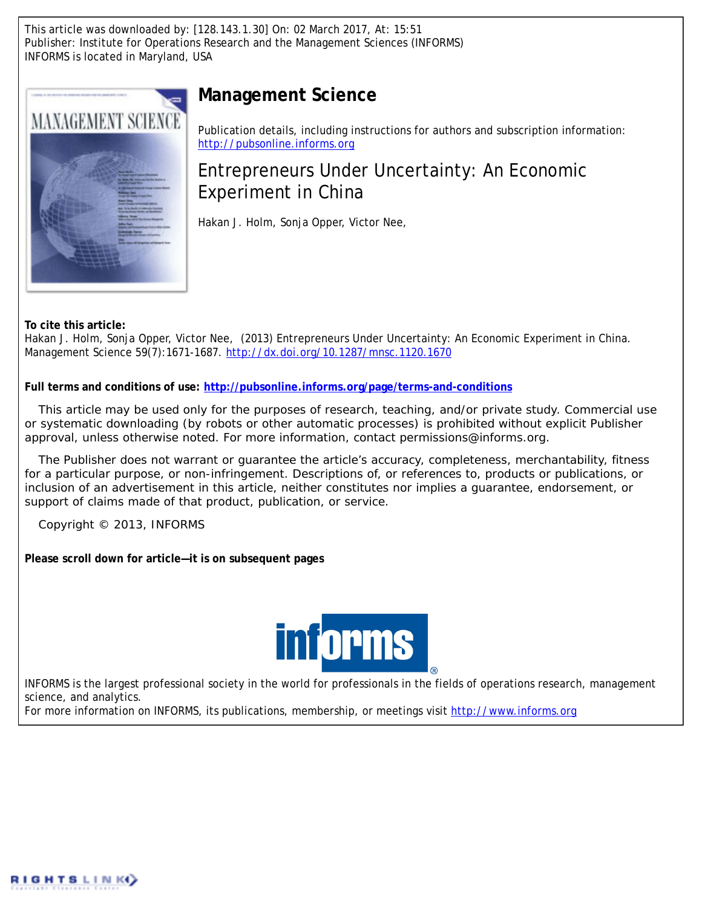This article was downloaded by: [128.143.1.30] On: 02 March 2017, At: 15:51 Publisher: Institute for Operations Research and the Management Sciences (INFORMS) INFORMS is located in Maryland, USA



## **Management Science**

Publication details, including instructions for authors and subscription information: <http://pubsonline.informs.org>

# Entrepreneurs Under Uncertainty: An Economic Experiment in China

Hakan J. Holm, Sonja Opper, Victor Nee,

**To cite this article:**

Hakan J. Holm, Sonja Opper, Victor Nee, (2013) Entrepreneurs Under Uncertainty: An Economic Experiment in China. Management Science 59(7):1671-1687. <http://dx.doi.org/10.1287/mnsc.1120.1670>

**Full terms and conditions of use: <http://pubsonline.informs.org/page/terms-and-conditions>**

This article may be used only for the purposes of research, teaching, and/or private study. Commercial use or systematic downloading (by robots or other automatic processes) is prohibited without explicit Publisher approval, unless otherwise noted. For more information, contact permissions@informs.org.

The Publisher does not warrant or guarantee the article's accuracy, completeness, merchantability, fitness for a particular purpose, or non-infringement. Descriptions of, or references to, products or publications, or inclusion of an advertisement in this article, neither constitutes nor implies a guarantee, endorsement, or support of claims made of that product, publication, or service.

Copyright © 2013, INFORMS

**Please scroll down for article—it is on subsequent pages**



INFORMS is the largest professional society in the world for professionals in the fields of operations research, management science, and analytics.

For more information on INFORMS, its publications, membership, or meetings visit <http://www.informs.org>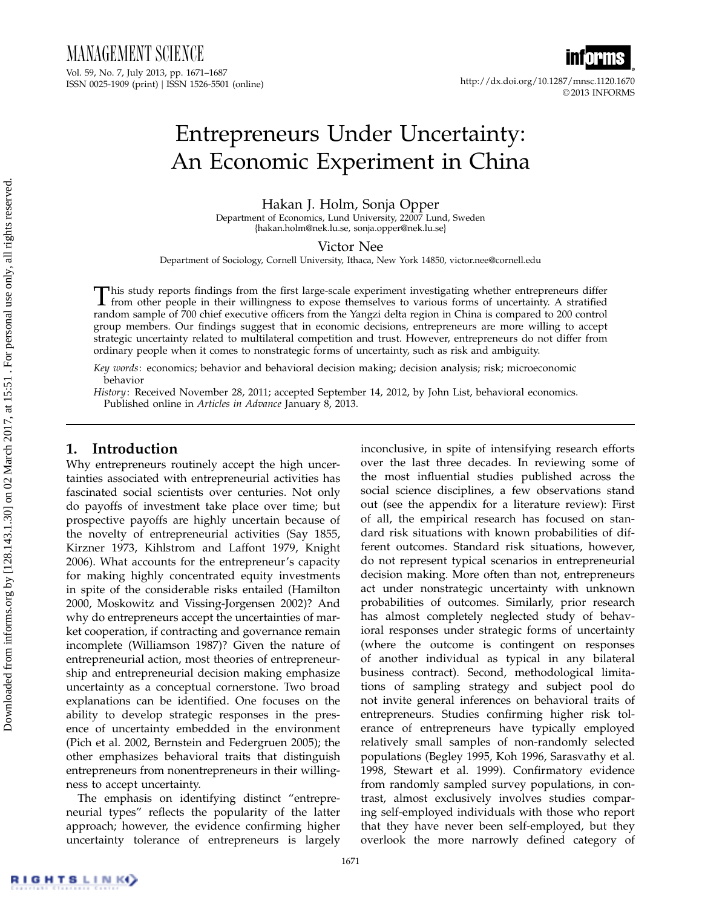

ISSN 0025-1909 (print) ISSN 1526-5501 (online) http://dx.doi.org/10.1287/mnsc.1120.1670 © 2013 INFORMS

# Entrepreneurs Under Uncertainty: An Economic Experiment in China

Hakan J. Holm, Sonja Opper

Department of Economics, Lund University, 22007 Lund, Sweden {hakan.holm@nek.lu.se, sonja.opper@nek.lu.se}

Victor Nee

Department of Sociology, Cornell University, Ithaca, New York 14850, victor.nee@cornell.edu

This study reports findings from the first large-scale experiment investigating whether entrepreneurs differ from other people in their willingness to expose themselves to various forms of uncertainty. A stratified random his study reports findings from the first large-scale experiment investigating whether entrepreneurs differ from other people in their willingness to expose themselves to various forms of uncertainty. A stratified group members. Our findings suggest that in economic decisions, entrepreneurs are more willing to accept strategic uncertainty related to multilateral competition and trust. However, entrepreneurs do not differ from ordinary people when it comes to nonstrategic forms of uncertainty, such as risk and ambiguity.

Key words: economics; behavior and behavioral decision making; decision analysis; risk; microeconomic behavior

History: Received November 28, 2011; accepted September 14, 2012, by John List, behavioral economics. Published online in Articles in Advance January 8, 2013.

#### 1. Introduction

Why entrepreneurs routinely accept the high uncertainties associated with entrepreneurial activities has fascinated social scientists over centuries. Not only do payoffs of investment take place over time; but prospective payoffs are highly uncertain because of the novelty of entrepreneurial activities (Say 1855, Kirzner 1973, Kihlstrom and Laffont 1979, Knight 2006). What accounts for the entrepreneur's capacity for making highly concentrated equity investments in spite of the considerable risks entailed (Hamilton 2000, Moskowitz and Vissing-Jorgensen 2002)? And why do entrepreneurs accept the uncertainties of market cooperation, if contracting and governance remain incomplete (Williamson 1987)? Given the nature of entrepreneurial action, most theories of entrepreneurship and entrepreneurial decision making emphasize uncertainty as a conceptual cornerstone. Two broad explanations can be identified. One focuses on the ability to develop strategic responses in the presence of uncertainty embedded in the environment (Pich et al. 2002, Bernstein and Federgruen 2005); the other emphasizes behavioral traits that distinguish entrepreneurs from nonentrepreneurs in their willingness to accept uncertainty.

The emphasis on identifying distinct "entrepreneurial types" reflects the popularity of the latter approach; however, the evidence confirming higher uncertainty tolerance of entrepreneurs is largely

inconclusive, in spite of intensifying research efforts over the last three decades. In reviewing some of the most influential studies published across the social science disciplines, a few observations stand out (see the appendix for a literature review): First of all, the empirical research has focused on standard risk situations with known probabilities of different outcomes. Standard risk situations, however, do not represent typical scenarios in entrepreneurial decision making. More often than not, entrepreneurs act under nonstrategic uncertainty with unknown probabilities of outcomes. Similarly, prior research has almost completely neglected study of behavioral responses under strategic forms of uncertainty (where the outcome is contingent on responses of another individual as typical in any bilateral business contract). Second, methodological limitations of sampling strategy and subject pool do not invite general inferences on behavioral traits of entrepreneurs. Studies confirming higher risk tolerance of entrepreneurs have typically employed relatively small samples of non-randomly selected populations (Begley 1995, Koh 1996, Sarasvathy et al. 1998, Stewart et al. 1999). Confirmatory evidence from randomly sampled survey populations, in contrast, almost exclusively involves studies comparing self-employed individuals with those who report that they have never been self-employed, but they overlook the more narrowly defined category of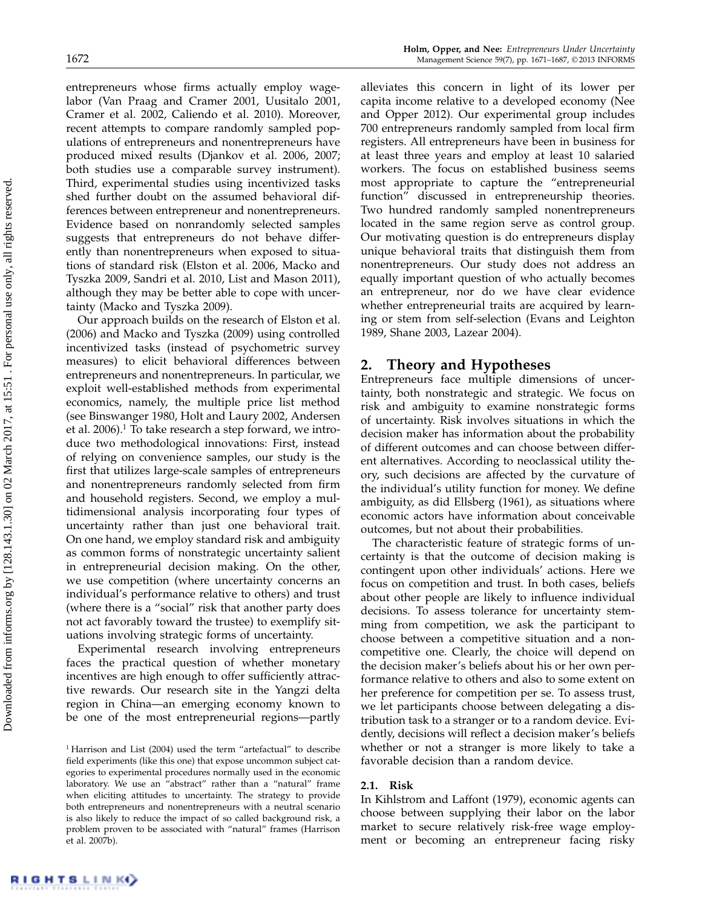entrepreneurs whose firms actually employ wagelabor (Van Praag and Cramer 2001, Uusitalo 2001, Cramer et al. 2002, Caliendo et al. 2010). Moreover, recent attempts to compare randomly sampled populations of entrepreneurs and nonentrepreneurs have produced mixed results (Djankov et al. 2006, 2007; both studies use a comparable survey instrument). Third, experimental studies using incentivized tasks shed further doubt on the assumed behavioral differences between entrepreneur and nonentrepreneurs. Evidence based on nonrandomly selected samples suggests that entrepreneurs do not behave differently than nonentrepreneurs when exposed to situations of standard risk (Elston et al. 2006, Macko and Tyszka 2009, Sandri et al. 2010, List and Mason 2011), although they may be better able to cope with uncertainty (Macko and Tyszka 2009).

Our approach builds on the research of Elston et al. (2006) and Macko and Tyszka (2009) using controlled incentivized tasks (instead of psychometric survey measures) to elicit behavioral differences between entrepreneurs and nonentrepreneurs. In particular, we exploit well-established methods from experimental economics, namely, the multiple price list method (see Binswanger 1980, Holt and Laury 2002, Andersen et al. 2006). $<sup>1</sup>$  To take research a step forward, we intro-</sup> duce two methodological innovations: First, instead of relying on convenience samples, our study is the first that utilizes large-scale samples of entrepreneurs and nonentrepreneurs randomly selected from firm and household registers. Second, we employ a multidimensional analysis incorporating four types of uncertainty rather than just one behavioral trait. On one hand, we employ standard risk and ambiguity as common forms of nonstrategic uncertainty salient in entrepreneurial decision making. On the other, we use competition (where uncertainty concerns an individual's performance relative to others) and trust (where there is a "social" risk that another party does not act favorably toward the trustee) to exemplify situations involving strategic forms of uncertainty.

Experimental research involving entrepreneurs faces the practical question of whether monetary incentives are high enough to offer sufficiently attractive rewards. Our research site in the Yangzi delta region in China—an emerging economy known to be one of the most entrepreneurial regions—partly alleviates this concern in light of its lower per capita income relative to a developed economy (Nee and Opper 2012). Our experimental group includes 700 entrepreneurs randomly sampled from local firm registers. All entrepreneurs have been in business for at least three years and employ at least 10 salaried workers. The focus on established business seems most appropriate to capture the "entrepreneurial function" discussed in entrepreneurship theories. Two hundred randomly sampled nonentrepreneurs located in the same region serve as control group. Our motivating question is do entrepreneurs display unique behavioral traits that distinguish them from nonentrepreneurs. Our study does not address an equally important question of who actually becomes an entrepreneur, nor do we have clear evidence whether entrepreneurial traits are acquired by learning or stem from self-selection (Evans and Leighton 1989, Shane 2003, Lazear 2004).

## 2. Theory and Hypotheses

Entrepreneurs face multiple dimensions of uncertainty, both nonstrategic and strategic. We focus on risk and ambiguity to examine nonstrategic forms of uncertainty. Risk involves situations in which the decision maker has information about the probability of different outcomes and can choose between different alternatives. According to neoclassical utility theory, such decisions are affected by the curvature of the individual's utility function for money. We define ambiguity, as did Ellsberg (1961), as situations where economic actors have information about conceivable outcomes, but not about their probabilities.

The characteristic feature of strategic forms of uncertainty is that the outcome of decision making is contingent upon other individuals' actions. Here we focus on competition and trust. In both cases, beliefs about other people are likely to influence individual decisions. To assess tolerance for uncertainty stemming from competition, we ask the participant to choose between a competitive situation and a noncompetitive one. Clearly, the choice will depend on the decision maker's beliefs about his or her own performance relative to others and also to some extent on her preference for competition per se. To assess trust, we let participants choose between delegating a distribution task to a stranger or to a random device. Evidently, decisions will reflect a decision maker's beliefs whether or not a stranger is more likely to take a favorable decision than a random device.

#### 2.1. Risk

In Kihlstrom and Laffont (1979), economic agents can choose between supplying their labor on the labor market to secure relatively risk-free wage employment or becoming an entrepreneur facing risky

 $1$ <sup>1</sup> Harrison and List (2004) used the term "artefactual" to describe field experiments (like this one) that expose uncommon subject categories to experimental procedures normally used in the economic laboratory. We use an "abstract" rather than a "natural" frame when eliciting attitudes to uncertainty. The strategy to provide both entrepreneurs and nonentrepreneurs with a neutral scenario is also likely to reduce the impact of so called background risk, a problem proven to be associated with "natural" frames (Harrison et al. 2007b).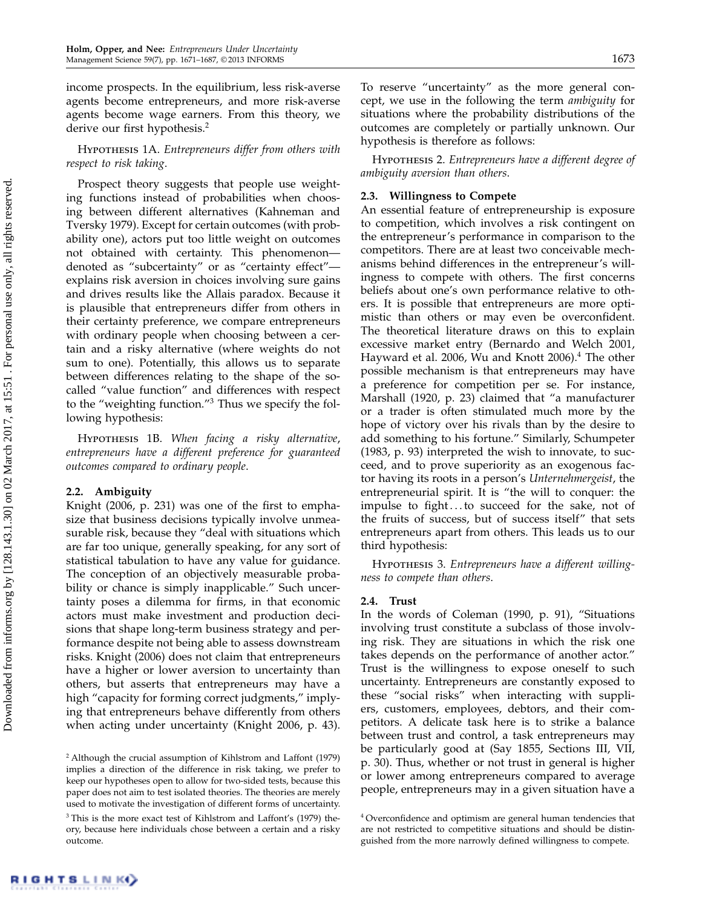income prospects. In the equilibrium, less risk-averse agents become entrepreneurs, and more risk-averse agents become wage earners. From this theory, we derive our first hypothesis.<sup>2</sup>

#### HYPOTHESIS 1A. Entrepreneurs differ from others with respect to risk taking.

Prospect theory suggests that people use weighting functions instead of probabilities when choosing between different alternatives (Kahneman and Tversky 1979). Except for certain outcomes (with probability one), actors put too little weight on outcomes not obtained with certainty. This phenomenon denoted as "subcertainty" or as "certainty effect" explains risk aversion in choices involving sure gains and drives results like the Allais paradox. Because it is plausible that entrepreneurs differ from others in their certainty preference, we compare entrepreneurs with ordinary people when choosing between a certain and a risky alternative (where weights do not sum to one). Potentially, this allows us to separate between differences relating to the shape of the socalled "value function" and differences with respect to the "weighting function."<sup>3</sup> Thus we specify the following hypothesis:

HYPOTHESIS 1B. When facing a risky alternative, entrepreneurs have a different preference for guaranteed outcomes compared to ordinary people.

#### 2.2. Ambiguity

Knight (2006, p. 231) was one of the first to emphasize that business decisions typically involve unmeasurable risk, because they "deal with situations which are far too unique, generally speaking, for any sort of statistical tabulation to have any value for guidance. The conception of an objectively measurable probability or chance is simply inapplicable." Such uncertainty poses a dilemma for firms, in that economic actors must make investment and production decisions that shape long-term business strategy and performance despite not being able to assess downstream risks. Knight (2006) does not claim that entrepreneurs have a higher or lower aversion to uncertainty than others, but asserts that entrepreneurs may have a high "capacity for forming correct judgments," implying that entrepreneurs behave differently from others when acting under uncertainty (Knight 2006, p. 43). To reserve "uncertainty" as the more general concept, we use in the following the term ambiguity for situations where the probability distributions of the outcomes are completely or partially unknown. Our hypothesis is therefore as follows:

HYPOTHESIS 2. Entrepreneurs have a different degree of ambiguity aversion than others.

#### 2.3. Willingness to Compete

An essential feature of entrepreneurship is exposure to competition, which involves a risk contingent on the entrepreneur's performance in comparison to the competitors. There are at least two conceivable mechanisms behind differences in the entrepreneur's willingness to compete with others. The first concerns beliefs about one's own performance relative to others. It is possible that entrepreneurs are more optimistic than others or may even be overconfident. The theoretical literature draws on this to explain excessive market entry (Bernardo and Welch 2001, Hayward et al. 2006, Wu and Knott  $2006$ .<sup>4</sup> The other possible mechanism is that entrepreneurs may have a preference for competition per se. For instance, Marshall (1920, p. 23) claimed that "a manufacturer or a trader is often stimulated much more by the hope of victory over his rivals than by the desire to add something to his fortune." Similarly, Schumpeter (1983, p. 93) interpreted the wish to innovate, to succeed, and to prove superiority as an exogenous factor having its roots in a person's Unternehmergeist, the entrepreneurial spirit. It is "the will to conquer: the impulse to fight...to succeed for the sake, not of the fruits of success, but of success itself" that sets entrepreneurs apart from others. This leads us to our third hypothesis:

HYPOTHESIS 3. Entrepreneurs have a different willingness to compete than others.

#### 2.4. Trust

In the words of Coleman (1990, p. 91), "Situations involving trust constitute a subclass of those involving risk. They are situations in which the risk one takes depends on the performance of another actor." Trust is the willingness to expose oneself to such uncertainty. Entrepreneurs are constantly exposed to these "social risks" when interacting with suppliers, customers, employees, debtors, and their competitors. A delicate task here is to strike a balance between trust and control, a task entrepreneurs may be particularly good at (Say 1855, Sections III, VII, p. 30). Thus, whether or not trust in general is higher or lower among entrepreneurs compared to average people, entrepreneurs may in a given situation have a

<sup>2</sup> Although the crucial assumption of Kihlstrom and Laffont (1979) implies a direction of the difference in risk taking, we prefer to keep our hypotheses open to allow for two-sided tests, because this paper does not aim to test isolated theories. The theories are merely used to motivate the investigation of different forms of uncertainty.

<sup>&</sup>lt;sup>3</sup> This is the more exact test of Kihlstrom and Laffont's (1979) theory, because here individuals chose between a certain and a risky outcome.

<sup>&</sup>lt;sup>4</sup> Overconfidence and optimism are general human tendencies that are not restricted to competitive situations and should be distinguished from the more narrowly defined willingness to compete.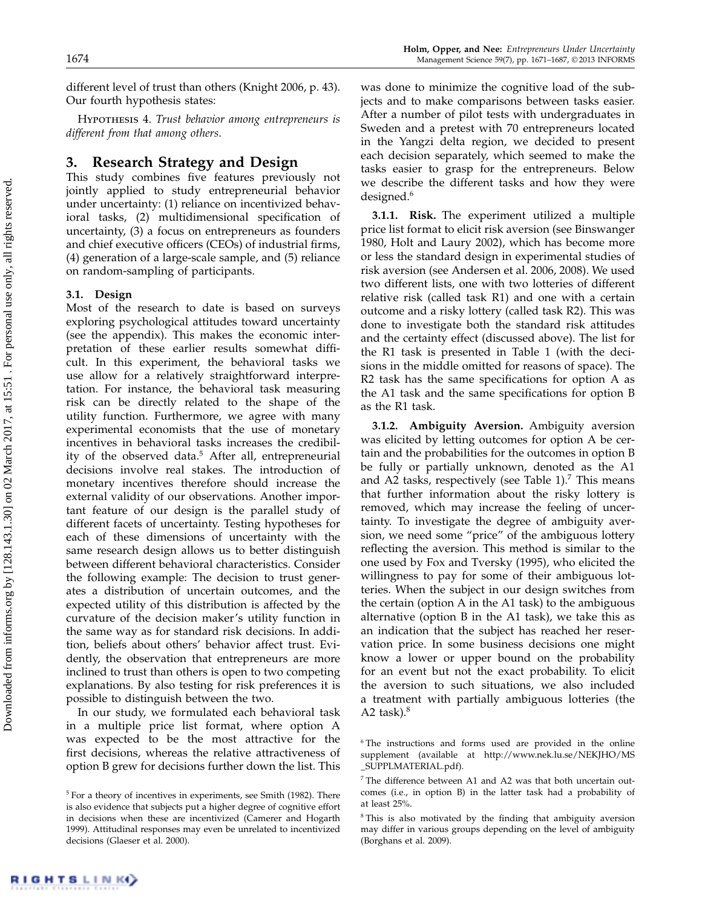different level of trust than others (Knight 2006, p. 43). Our fourth hypothesis states:

Hypothesis 4. Trust behavior among entrepreneurs is different from that among others.

## 3. Research Strategy and Design

This study combines five features previously not jointly applied to study entrepreneurial behavior under uncertainty: (1) reliance on incentivized behavioral tasks, (2) multidimensional specification of uncertainty, (3) a focus on entrepreneurs as founders and chief executive officers (CEOs) of industrial firms, (4) generation of a large-scale sample, and (5) reliance on random-sampling of participants.

### 3.1. Design

Most of the research to date is based on surveys exploring psychological attitudes toward uncertainty (see the appendix). This makes the economic interpretation of these earlier results somewhat difficult. In this experiment, the behavioral tasks we use allow for a relatively straightforward interpretation. For instance, the behavioral task measuring risk can be directly related to the shape of the utility function. Furthermore, we agree with many experimental economists that the use of monetary incentives in behavioral tasks increases the credibility of the observed data.<sup>5</sup> After all, entrepreneurial decisions involve real stakes. The introduction of monetary incentives therefore should increase the external validity of our observations. Another important feature of our design is the parallel study of different facets of uncertainty. Testing hypotheses for each of these dimensions of uncertainty with the same research design allows us to better distinguish between different behavioral characteristics. Consider the following example: The decision to trust generates a distribution of uncertain outcomes, and the expected utility of this distribution is affected by the curvature of the decision maker's utility function in the same way as for standard risk decisions. In addition, beliefs about others' behavior affect trust. Evidently, the observation that entrepreneurs are more inclined to trust than others is open to two competing explanations. By also testing for risk preferences it is possible to distinguish between the two.

In our study, we formulated each behavioral task in a multiple price list format, where option A was expected to be the most attractive for the first decisions, whereas the relative attractiveness of option B grew for decisions further down the list. This was done to minimize the cognitive load of the subjects and to make comparisons between tasks easier. After a number of pilot tests with undergraduates in Sweden and a pretest with 70 entrepreneurs located in the Yangzi delta region, we decided to present each decision separately, which seemed to make the tasks easier to grasp for the entrepreneurs. Below we describe the different tasks and how they were designed.<sup>6</sup>

3.1.1. Risk. The experiment utilized a multiple price list format to elicit risk aversion (see Binswanger 1980, Holt and Laury 2002), which has become more or less the standard design in experimental studies of risk aversion (see Andersen et al. 2006, 2008). We used two different lists, one with two lotteries of different relative risk (called task R1) and one with a certain outcome and a risky lottery (called task R2). This was done to investigate both the standard risk attitudes and the certainty effect (discussed above). The list for the R1 task is presented in Table 1 (with the decisions in the middle omitted for reasons of space). The R2 task has the same specifications for option A as the A1 task and the same specifications for option B as the R1 task.

3.1.2. Ambiguity Aversion. Ambiguity aversion was elicited by letting outcomes for option A be certain and the probabilities for the outcomes in option B be fully or partially unknown, denoted as the A1 and A2 tasks, respectively (see Table  $1$ ).<sup>7</sup> This means that further information about the risky lottery is removed, which may increase the feeling of uncertainty. To investigate the degree of ambiguity aversion, we need some "price" of the ambiguous lottery reflecting the aversion. This method is similar to the one used by Fox and Tversky (1995), who elicited the willingness to pay for some of their ambiguous lotteries. When the subject in our design switches from the certain (option A in the A1 task) to the ambiguous alternative (option B in the A1 task), we take this as an indication that the subject has reached her reservation price. In some business decisions one might know a lower or upper bound on the probability for an event but not the exact probability. To elicit the aversion to such situations, we also included a treatment with partially ambiguous lotteries (the A2 task.<sup>8</sup>

<sup>&</sup>lt;sup>5</sup> For a theory of incentives in experiments, see Smith (1982). There is also evidence that subjects put a higher degree of cognitive effort in decisions when these are incentivized (Camerer and Hogarth 1999). Attitudinal responses may even be unrelated to incentivized decisions (Glaeser et al. 2000).

<sup>6</sup> The instructions and forms used are provided in the online supplement (available at http://www.nek.lu.se/NEKJHO/MS \_SUPPLMATERIAL.pdf).

<sup>7</sup> The difference between A1 and A2 was that both uncertain outcomes (i.e., in option B) in the latter task had a probability of at least 25%.

<sup>8</sup> This is also motivated by the finding that ambiguity aversion may differ in various groups depending on the level of ambiguity (Borghans et al. 2009).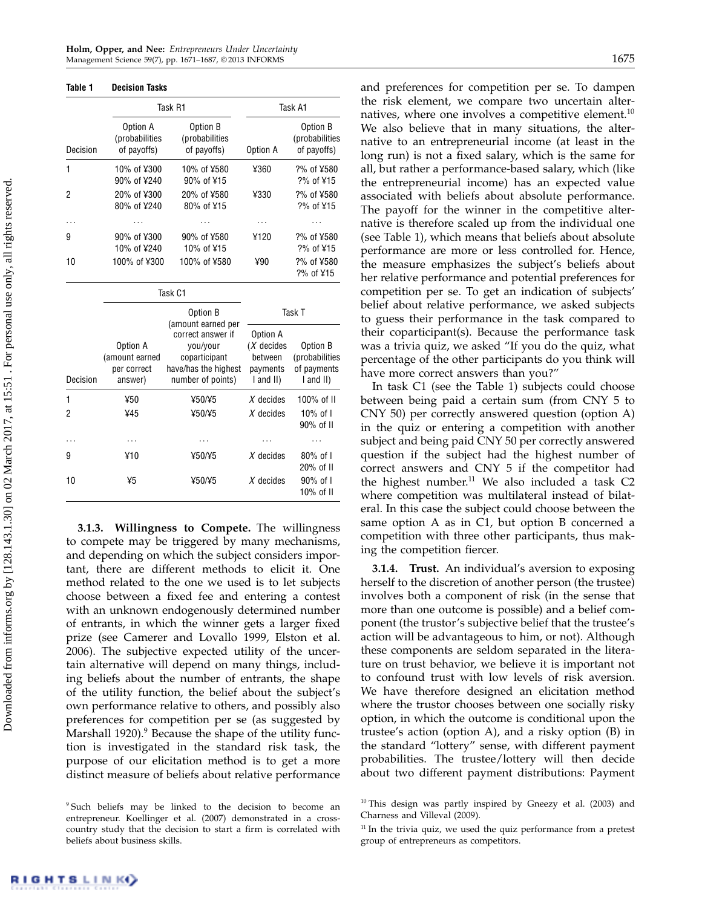#### Table 1 Decision Tasks

|                |                                                      | Task R1                                                                                     | Task A1                                                          |                                                            |  |  |
|----------------|------------------------------------------------------|---------------------------------------------------------------------------------------------|------------------------------------------------------------------|------------------------------------------------------------|--|--|
| Decision       | Option A<br>(probabilities<br>of payoffs)            | Option B<br>(probabilities<br>of payoffs)                                                   | Option A                                                         | Option B<br>(probabilities<br>of payoffs)                  |  |  |
| 1              | 10% of ¥300<br>90% of ¥240                           | 10% of ¥580<br>90% of ¥15                                                                   | ¥360                                                             | ?% of ¥580<br>?% of ¥15                                    |  |  |
| 2              | 20% of ¥300<br>80% of ¥240                           | 20% of ¥580<br>80% of ¥15                                                                   | ¥330                                                             | ?% of ¥580<br>?% of ¥15                                    |  |  |
|                |                                                      |                                                                                             | .                                                                | .                                                          |  |  |
| 9              | 90% of ¥300<br>10% of ¥240                           | 90% of ¥580<br>10% of ¥15                                                                   | 4120                                                             | ?% of ¥580<br>?% of ¥15                                    |  |  |
| 10             | 100% of ¥300                                         | 100% of ¥580                                                                                | ¥90                                                              | ?% of ¥580<br>?% of ¥15                                    |  |  |
|                |                                                      | Task C1                                                                                     |                                                                  |                                                            |  |  |
|                |                                                      | Option B<br>(amount earned per                                                              | Task T                                                           |                                                            |  |  |
| Decision       | Option A<br>(amount earned<br>per correct<br>answer) | correct answer if<br>you/your<br>coparticipant<br>have/has the highest<br>number of points) | Option A<br>$(X$ decides<br>between<br>payments<br>$I$ and $II)$ | Option B<br>(probabilities<br>of payments<br>$I$ and $II)$ |  |  |
| 1              | ¥50                                                  | ¥50/¥5                                                                                      | $X$ decides                                                      | 100% of II                                                 |  |  |
| $\overline{2}$ | 445                                                  | ¥50/¥5                                                                                      | $X$ decides                                                      | $10\%$ of I<br>90% of II                                   |  |  |
|                | .                                                    |                                                                                             |                                                                  |                                                            |  |  |
| 9              | ¥10                                                  | ¥50/¥5                                                                                      | $X$ decides                                                      | $80\%$ of I<br>20% of II                                   |  |  |
| 10             | ¥5                                                   | ¥50/¥5                                                                                      | $X$ decides                                                      | 90% of I<br>10% of II                                      |  |  |

3.1.3. Willingness to Compete. The willingness to compete may be triggered by many mechanisms, and depending on which the subject considers important, there are different methods to elicit it. One method related to the one we used is to let subjects choose between a fixed fee and entering a contest with an unknown endogenously determined number of entrants, in which the winner gets a larger fixed prize (see Camerer and Lovallo 1999, Elston et al. 2006). The subjective expected utility of the uncertain alternative will depend on many things, including beliefs about the number of entrants, the shape of the utility function, the belief about the subject's own performance relative to others, and possibly also preferences for competition per se (as suggested by Marshall  $1920$ ).<sup>9</sup> Because the shape of the utility function is investigated in the standard risk task, the purpose of our elicitation method is to get a more distinct measure of beliefs about relative performance and preferences for competition per se. To dampen the risk element, we compare two uncertain alternatives, where one involves a competitive element. $10$ We also believe that in many situations, the alternative to an entrepreneurial income (at least in the long run) is not a fixed salary, which is the same for all, but rather a performance-based salary, which (like the entrepreneurial income) has an expected value associated with beliefs about absolute performance. The payoff for the winner in the competitive alternative is therefore scaled up from the individual one (see Table 1), which means that beliefs about absolute performance are more or less controlled for. Hence, the measure emphasizes the subject's beliefs about her relative performance and potential preferences for competition per se. To get an indication of subjects' belief about relative performance, we asked subjects to guess their performance in the task compared to their coparticipant(s). Because the performance task was a trivia quiz, we asked "If you do the quiz, what percentage of the other participants do you think will have more correct answers than you?"

In task C1 (see the Table 1) subjects could choose between being paid a certain sum (from CNY 5 to CNY 50) per correctly answered question (option A) in the quiz or entering a competition with another subject and being paid CNY 50 per correctly answered question if the subject had the highest number of correct answers and CNY 5 if the competitor had the highest number.<sup>11</sup> We also included a task  $C2$ where competition was multilateral instead of bilateral. In this case the subject could choose between the same option A as in C1, but option B concerned a competition with three other participants, thus making the competition fiercer.

3.1.4. Trust. An individual's aversion to exposing herself to the discretion of another person (the trustee) involves both a component of risk (in the sense that more than one outcome is possible) and a belief component (the trustor's subjective belief that the trustee's action will be advantageous to him, or not). Although these components are seldom separated in the literature on trust behavior, we believe it is important not to confound trust with low levels of risk aversion. We have therefore designed an elicitation method where the trustor chooses between one socially risky option, in which the outcome is conditional upon the trustee's action (option A), and a risky option (B) in the standard "lottery" sense, with different payment probabilities. The trustee/lottery will then decide about two different payment distributions: Payment

<sup>&</sup>lt;sup>9</sup> Such beliefs may be linked to the decision to become an entrepreneur. Koellinger et al. (2007) demonstrated in a crosscountry study that the decision to start a firm is correlated with beliefs about business skills.

<sup>&</sup>lt;sup>10</sup> This design was partly inspired by Gneezy et al. (2003) and Charness and Villeval (2009).

 $11$  In the trivia quiz, we used the quiz performance from a pretest group of entrepreneurs as competitors.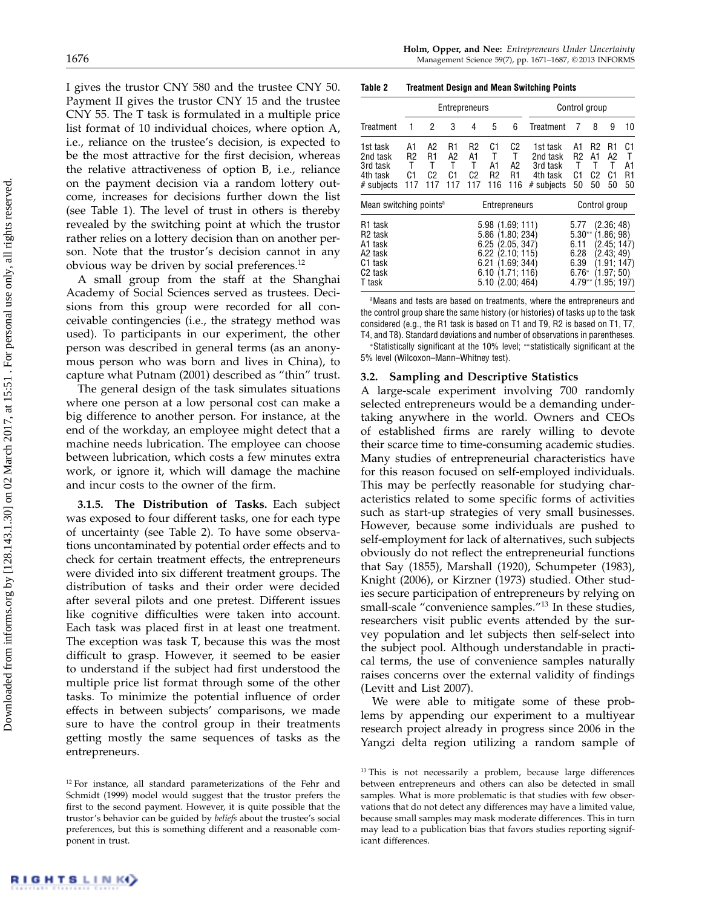I gives the trustor CNY 580 and the trustee CNY 50. Payment II gives the trustor CNY 15 and the trustee CNY 55. The T task is formulated in a multiple price list format of 10 individual choices, where option A, i.e., reliance on the trustee's decision, is expected to be the most attractive for the first decision, whereas the relative attractiveness of option B, i.e., reliance on the payment decision via a random lottery outcome, increases for decisions further down the list (see Table 1). The level of trust in others is thereby revealed by the switching point at which the trustor rather relies on a lottery decision than on another person. Note that the trustor's decision cannot in any obvious way be driven by social preferences.<sup>12</sup>

A small group from the staff at the Shanghai Academy of Social Sciences served as trustees. Decisions from this group were recorded for all conceivable contingencies (i.e., the strategy method was used). To participants in our experiment, the other person was described in general terms (as an anonymous person who was born and lives in China), to capture what Putnam (2001) described as "thin" trust.

The general design of the task simulates situations where one person at a low personal cost can make a big difference to another person. For instance, at the end of the workday, an employee might detect that a machine needs lubrication. The employee can choose between lubrication, which costs a few minutes extra work, or ignore it, which will damage the machine and incur costs to the owner of the firm.

3.1.5. The Distribution of Tasks. Each subject was exposed to four different tasks, one for each type of uncertainty (see Table 2). To have some observations uncontaminated by potential order effects and to check for certain treatment effects, the entrepreneurs were divided into six different treatment groups. The distribution of tasks and their order were decided after several pilots and one pretest. Different issues like cognitive difficulties were taken into account. Each task was placed first in at least one treatment. The exception was task T, because this was the most difficult to grasp. However, it seemed to be easier to understand if the subject had first understood the multiple price list format through some of the other tasks. To minimize the potential influence of order effects in between subjects' comparisons, we made sure to have the control group in their treatments getting mostly the same sequences of tasks as the entrepreneurs.

1676 Management Science 59(7), pp. 1671–1687, © 2013 INFORMS

Holm, Opper, and Nee: Entrepreneurs Under Uncertainty

Table 2 Treatment Design and Mean Switching Points

|                                                                                                                          |                                        | <b>Entrepreneurs</b>                   | Control group              |                                        |                                                                                                                                                 |                            |                                                              |                                         |                                           |                                                                      |                           |
|--------------------------------------------------------------------------------------------------------------------------|----------------------------------------|----------------------------------------|----------------------------|----------------------------------------|-------------------------------------------------------------------------------------------------------------------------------------------------|----------------------------|--------------------------------------------------------------|-----------------------------------------|-------------------------------------------|----------------------------------------------------------------------|---------------------------|
| Treatment                                                                                                                | 1                                      | 2                                      | 3                          | 4                                      | 5                                                                                                                                               | 6                          | Treatment                                                    | 7                                       | 8                                         | 9                                                                    | 10                        |
| 1st task<br>2nd task<br>3rd task<br>4th task<br>$#$ subjects                                                             | A1<br>R <sub>2</sub><br>Τ<br>C1<br>117 | A2<br>R1<br>Т<br>C <sub>2</sub><br>117 | R1<br>A2<br>Τ<br>C1<br>117 | R2<br>A1<br>т<br>C <sub>2</sub><br>117 | C1<br>Τ<br>A1<br>R <sub>2</sub><br>116                                                                                                          | C2<br>T<br>A2<br>R1<br>116 | 1st task<br>2nd task<br>3rd task<br>4th task<br>$#$ subjects | A1<br>R2<br>Т<br>C1<br>50               | R2<br>Α1<br>Т<br>C <sub>2</sub><br>50     | R1<br>A2<br>Т<br>C1<br>50                                            | C1<br>Т<br>A1<br>R1<br>50 |
| Mean switching points <sup>a</sup>                                                                                       |                                        |                                        |                            |                                        | Entrepreneurs                                                                                                                                   |                            |                                                              |                                         | Control group                             |                                                                      |                           |
| R <sub>1</sub> task<br>R <sub>2</sub> task<br>A1 task<br>A2 task<br>C <sub>1</sub> task<br>C <sub>2</sub> task<br>T task |                                        |                                        |                            |                                        | 5.98 (1.69; 111)<br>5.86 (1.80; 234)<br>6.25 (2.05, 347)<br>$6.22$ $(2.10; 115)$<br>6.21 (1.69; 344)<br>6.10(1.71; 116)<br>$5.10$ $(2.00; 464)$ |                            |                                                              | 5.77<br>6.11<br>6.28<br>6.39<br>$6.76*$ | $5.30**$ (1.86; 98)<br>4.79** (1.95; 197) | (2.36; 48)<br>(2.45; 147)<br>(2.43; 49)<br>(1.91; 147)<br>(1.97; 50) |                           |

<sup>a</sup>Means and tests are based on treatments, where the entrepreneurs and the control group share the same history (or histories) of tasks up to the task considered (e.g., the R1 task is based on T1 and T9, R2 is based on T1, T7, T4, and T8). Standard deviations and number of observations in parentheses.

<sup>∗</sup>Statistically significant at the 10% level; ∗∗statistically significant at the 5% level (Wilcoxon–Mann–Whitney test).

#### 3.2. Sampling and Descriptive Statistics

A large-scale experiment involving 700 randomly selected entrepreneurs would be a demanding undertaking anywhere in the world. Owners and CEOs of established firms are rarely willing to devote their scarce time to time-consuming academic studies. Many studies of entrepreneurial characteristics have for this reason focused on self-employed individuals. This may be perfectly reasonable for studying characteristics related to some specific forms of activities such as start-up strategies of very small businesses. However, because some individuals are pushed to self-employment for lack of alternatives, such subjects obviously do not reflect the entrepreneurial functions that Say (1855), Marshall (1920), Schumpeter (1983), Knight (2006), or Kirzner (1973) studied. Other studies secure participation of entrepreneurs by relying on small-scale "convenience samples."<sup>13</sup> In these studies, researchers visit public events attended by the survey population and let subjects then self-select into the subject pool. Although understandable in practical terms, the use of convenience samples naturally raises concerns over the external validity of findings (Levitt and List 2007).

We were able to mitigate some of these problems by appending our experiment to a multiyear research project already in progress since 2006 in the Yangzi delta region utilizing a random sample of

<sup>&</sup>lt;sup>12</sup> For instance, all standard parameterizations of the Fehr and Schmidt (1999) model would suggest that the trustor prefers the first to the second payment. However, it is quite possible that the trustor's behavior can be guided by beliefs about the trustee's social preferences, but this is something different and a reasonable component in trust.

<sup>&</sup>lt;sup>13</sup> This is not necessarily a problem, because large differences between entrepreneurs and others can also be detected in small samples. What is more problematic is that studies with few observations that do not detect any differences may have a limited value, because small samples may mask moderate differences. This in turn may lead to a publication bias that favors studies reporting significant differences.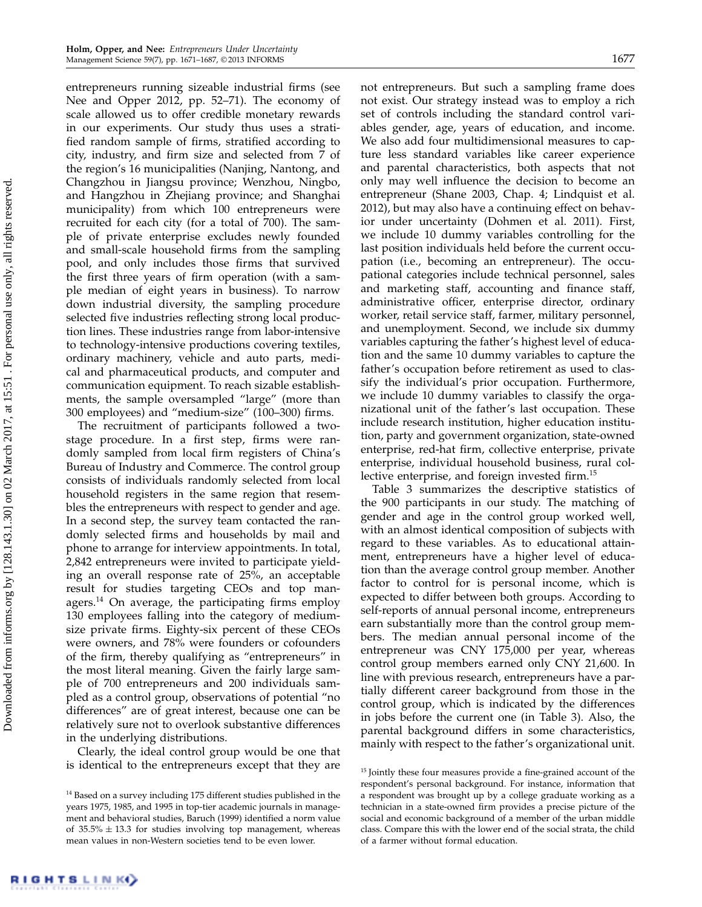entrepreneurs running sizeable industrial firms (see Nee and Opper 2012, pp. 52–71). The economy of scale allowed us to offer credible monetary rewards in our experiments. Our study thus uses a stratified random sample of firms, stratified according to city, industry, and firm size and selected from 7 of the region's 16 municipalities (Nanjing, Nantong, and Changzhou in Jiangsu province; Wenzhou, Ningbo, and Hangzhou in Zhejiang province; and Shanghai municipality) from which 100 entrepreneurs were recruited for each city (for a total of 700). The sample of private enterprise excludes newly founded and small-scale household firms from the sampling pool, and only includes those firms that survived the first three years of firm operation (with a sample median of eight years in business). To narrow down industrial diversity, the sampling procedure selected five industries reflecting strong local production lines. These industries range from labor-intensive to technology-intensive productions covering textiles, ordinary machinery, vehicle and auto parts, medical and pharmaceutical products, and computer and communication equipment. To reach sizable establishments, the sample oversampled "large" (more than 300 employees) and "medium-size" (100–300) firms.

The recruitment of participants followed a twostage procedure. In a first step, firms were randomly sampled from local firm registers of China's Bureau of Industry and Commerce. The control group consists of individuals randomly selected from local household registers in the same region that resembles the entrepreneurs with respect to gender and age. In a second step, the survey team contacted the randomly selected firms and households by mail and phone to arrange for interview appointments. In total, 2,842 entrepreneurs were invited to participate yielding an overall response rate of 25%, an acceptable result for studies targeting CEOs and top managers.<sup>14</sup> On average, the participating firms employ 130 employees falling into the category of mediumsize private firms. Eighty-six percent of these CEOs were owners, and 78% were founders or cofounders of the firm, thereby qualifying as "entrepreneurs" in the most literal meaning. Given the fairly large sample of 700 entrepreneurs and 200 individuals sampled as a control group, observations of potential "no differences" are of great interest, because one can be relatively sure not to overlook substantive differences in the underlying distributions.

Clearly, the ideal control group would be one that is identical to the entrepreneurs except that they are not entrepreneurs. But such a sampling frame does not exist. Our strategy instead was to employ a rich set of controls including the standard control variables gender, age, years of education, and income. We also add four multidimensional measures to capture less standard variables like career experience and parental characteristics, both aspects that not only may well influence the decision to become an entrepreneur (Shane 2003, Chap. 4; Lindquist et al. 2012), but may also have a continuing effect on behavior under uncertainty (Dohmen et al. 2011). First, we include 10 dummy variables controlling for the last position individuals held before the current occupation (i.e., becoming an entrepreneur). The occupational categories include technical personnel, sales and marketing staff, accounting and finance staff, administrative officer, enterprise director, ordinary worker, retail service staff, farmer, military personnel, and unemployment. Second, we include six dummy variables capturing the father's highest level of education and the same 10 dummy variables to capture the father's occupation before retirement as used to classify the individual's prior occupation. Furthermore, we include 10 dummy variables to classify the organizational unit of the father's last occupation. These include research institution, higher education institution, party and government organization, state-owned enterprise, red-hat firm, collective enterprise, private enterprise, individual household business, rural collective enterprise, and foreign invested firm.<sup>15</sup>

Table 3 summarizes the descriptive statistics of the 900 participants in our study. The matching of gender and age in the control group worked well, with an almost identical composition of subjects with regard to these variables. As to educational attainment, entrepreneurs have a higher level of education than the average control group member. Another factor to control for is personal income, which is expected to differ between both groups. According to self-reports of annual personal income, entrepreneurs earn substantially more than the control group members. The median annual personal income of the entrepreneur was CNY 175,000 per year, whereas control group members earned only CNY 21,600. In line with previous research, entrepreneurs have a partially different career background from those in the control group, which is indicated by the differences in jobs before the current one (in Table 3). Also, the parental background differs in some characteristics, mainly with respect to the father's organizational unit.

<sup>&</sup>lt;sup>14</sup> Based on a survey including 175 different studies published in the years 1975, 1985, and 1995 in top-tier academic journals in management and behavioral studies, Baruch (1999) identified a norm value of  $35.5\% \pm 13.3$  for studies involving top management, whereas mean values in non-Western societies tend to be even lower.

<sup>&</sup>lt;sup>15</sup> Jointly these four measures provide a fine-grained account of the respondent's personal background. For instance, information that a respondent was brought up by a college graduate working as a technician in a state-owned firm provides a precise picture of the social and economic background of a member of the urban middle class. Compare this with the lower end of the social strata, the child of a farmer without formal education.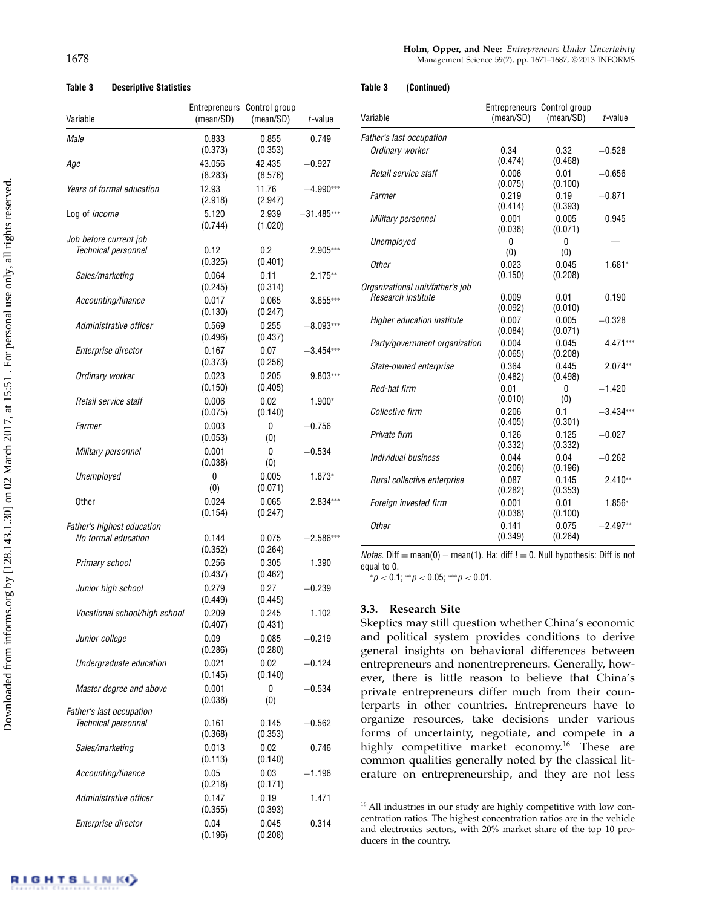#### Table 3 Descriptive Statistics

#### Table 3 (Continued)

| Variable                                      | (mean/SD)                   | Entrepreneurs Control group<br>(mean/SD) | t-value     |
|-----------------------------------------------|-----------------------------|------------------------------------------|-------------|
| Male                                          | 0.833<br>(0.373)            | 0.855<br>(0.353)                         | 0.749       |
| Age                                           | 43.056<br>(8.283)           | 42.435<br>(8.576)                        | $-0.927$    |
| Years of formal education                     | 12.93<br>(2.918)            | 11.76<br>(2.947)                         | $-4.990***$ |
| Log of <i>income</i>                          | 5.120<br>(0.744)            | 2.939<br>(1.020)                         | -31.485***  |
| Job before current job<br>Technical personnel | 0.12<br>(0.325)             | 0.2<br>(0.401)                           | 2.905***    |
| Sales/marketing                               | 0.064<br>(0.245)            | 0.11<br>(0.314)                          | $2.175**$   |
| Accounting/finance                            | 0.017<br>(0.130)            | 0.065<br>(0.247)                         | $3.655***$  |
| Administrative officer                        | 0.569<br>(0.496)            | 0.255<br>(0.437)                         | $-8.093***$ |
| Enterprise director                           | 0.167<br>(0.373)            | 0.07<br>(0.256)                          | -3.454***   |
| Ordinary worker                               | 0.023<br>(0.150)            | 0.205<br>(0.405)                         | $9.803***$  |
| Retail service staff                          | 0.006<br>(0.075)            | 0.02<br>(0.140)                          | 1.900*      |
| Farmer                                        | 0.003<br>(0.053)            | 0<br>(0)                                 | $-0.756$    |
| Military personnel                            | 0.001<br>(0.038)            | 0<br>(0)                                 | -0.534      |
| Unemployed                                    | 0<br>(0)                    | 0.005<br>(0.071)                         | $1.873*$    |
| Other                                         | 0.024<br>(0.154)            | 0.065<br>(0.247)                         | $2.834***$  |
| Father's highest education                    |                             |                                          |             |
| No formal education                           | 0.144<br>(0.352)            | 0.075<br>(0.264)                         | $-2.586***$ |
| Primary school                                | 0.256<br>(0.437)            | 0.305<br>(0.462)                         | 1.390       |
| Junior high school                            | 0.279<br>(0.449)            | 0.27<br>(0.445)                          | 0.239       |
| Vocational school/high school                 | 0.209<br>(0.407)            | 0.245<br>(0.431)                         | 1.102       |
| Junior college                                | 0.09<br>(0.286)             | 0.085<br>(0.280)                         | $-0.219$    |
| Undergraduate education                       | 0.021<br>(0.145)            | 0.02<br>(0.140)                          | $-0.124$    |
| Master degree and above                       | 0.001<br>(0.038)            | 0<br>(0)                                 | -0.534      |
| Father's last occupation                      |                             |                                          |             |
| Technical personnel                           | 0.161                       | 0.145<br>(0.353)                         | $-0.562$    |
| Sales/marketing                               | (0.368)<br>0.013            | 0.02                                     | 0.746       |
| Accounting/finance                            | (0.113)<br>0.05             | (0.140)<br>0.03                          | $-1.196$    |
| Administrative officer                        | (0.218)<br>0.147<br>(0.355) | (0.171)<br>0.19<br>(0.393)               | 1.471       |
| Enterprise director                           | 0.04<br>(0.196)             | 0.045<br>(0.208)                         | 0.314       |

| Variable                          | Entrepreneurs Control group<br>(mean/SD) | (mean/SD)        | $t$ -value  |
|-----------------------------------|------------------------------------------|------------------|-------------|
| Father's last occupation          |                                          |                  |             |
| Ordinary worker                   | 0.34<br>(0.474)                          | 0.32<br>(0.468)  | $-0.528$    |
| Retail service staff              | 0.006<br>(0.075)                         | 0.01<br>(0.100)  | $-0.656$    |
| Farmer                            | 0.219<br>(0.414)                         | 0.19<br>(0.393)  | $-0.871$    |
| Military personnel                | 0.001<br>(0.038)                         | 0.005<br>(0.071) | 0.945       |
| Unemployed                        | 0<br>(0)                                 | 0<br>(0)         |             |
| <b>Other</b>                      | 0.023<br>(0.150)                         | 0.045<br>(0.208) | $1.681*$    |
| Organizational unit/father's job  |                                          |                  |             |
| Research institute                | 0.009<br>(0.092)                         | 0.01<br>(0.010)  | 0.190       |
| <b>Higher education institute</b> | 0.007<br>(0.084)                         | 0.005<br>(0.071) | $-0.328$    |
| Party/government organization     | 0.004<br>(0.065)                         | 0.045<br>(0.208) | 4.471***    |
| State-owned enterprise            | 0.364<br>(0.482)                         | 0.445<br>(0.498) | $2.074**$   |
| Red-hat firm                      | 0.01<br>(0.010)                          | 0<br>(0)         | $-1.420$    |
| Collective firm                   | 0.206<br>(0.405)                         | 0.1<br>(0.301)   | $-3.434***$ |
| Private firm                      | 0.126<br>(0.332)                         | 0.125<br>(0.332) | $-0.027$    |
| Individual business               | 0.044<br>(0.206)                         | 0.04<br>(0.196)  | $-0.262$    |
| Rural collective enterprise       | 0.087<br>(0.282)                         | 0.145<br>(0.353) | $2.410**$   |
| Foreign invested firm             | 0.001<br>(0.038)                         | 0.01<br>(0.100)  | 1.856*      |
| Other                             | 0.141<br>(0.349)                         | 0.075<br>(0.264) | $-2.497**$  |

*Notes.* Diff = mean(0) – mean(1). Ha: diff  $!=$  0. Null hypothesis: Diff is not equal to 0.

 ${}^*p$  < 0.1;  ${}^{**}p$  < 0.05;  ${}^{***}p$  < 0.01.

#### 3.3. Research Site

Skeptics may still question whether China's economic and political system provides conditions to derive general insights on behavioral differences between entrepreneurs and nonentrepreneurs. Generally, however, there is little reason to believe that China's private entrepreneurs differ much from their counterparts in other countries. Entrepreneurs have to organize resources, take decisions under various forms of uncertainty, negotiate, and compete in a highly competitive market economy.<sup>16</sup> These are common qualities generally noted by the classical literature on entrepreneurship, and they are not less

<sup>16</sup> All industries in our study are highly competitive with low concentration ratios. The highest concentration ratios are in the vehicle and electronics sectors, with 20% market share of the top 10 producers in the country.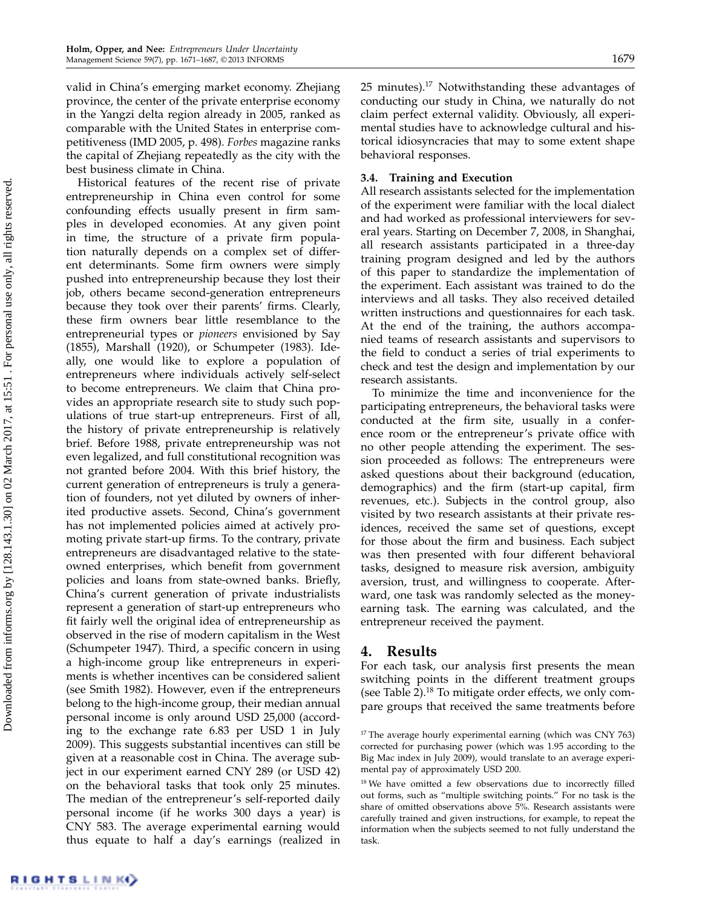valid in China's emerging market economy. Zhejiang province, the center of the private enterprise economy in the Yangzi delta region already in 2005, ranked as comparable with the United States in enterprise competitiveness (IMD 2005, p. 498). Forbes magazine ranks the capital of Zhejiang repeatedly as the city with the best business climate in China.

Historical features of the recent rise of private entrepreneurship in China even control for some confounding effects usually present in firm samples in developed economies. At any given point in time, the structure of a private firm population naturally depends on a complex set of different determinants. Some firm owners were simply pushed into entrepreneurship because they lost their job, others became second-generation entrepreneurs because they took over their parents' firms. Clearly, these firm owners bear little resemblance to the entrepreneurial types or pioneers envisioned by Say (1855), Marshall (1920), or Schumpeter (1983). Ideally, one would like to explore a population of entrepreneurs where individuals actively self-select to become entrepreneurs. We claim that China provides an appropriate research site to study such populations of true start-up entrepreneurs. First of all, the history of private entrepreneurship is relatively brief. Before 1988, private entrepreneurship was not even legalized, and full constitutional recognition was not granted before 2004. With this brief history, the current generation of entrepreneurs is truly a generation of founders, not yet diluted by owners of inherited productive assets. Second, China's government has not implemented policies aimed at actively promoting private start-up firms. To the contrary, private entrepreneurs are disadvantaged relative to the stateowned enterprises, which benefit from government policies and loans from state-owned banks. Briefly, China's current generation of private industrialists represent a generation of start-up entrepreneurs who fit fairly well the original idea of entrepreneurship as observed in the rise of modern capitalism in the West (Schumpeter 1947). Third, a specific concern in using a high-income group like entrepreneurs in experiments is whether incentives can be considered salient (see Smith 1982). However, even if the entrepreneurs belong to the high-income group, their median annual personal income is only around USD 25,000 (according to the exchange rate 6.83 per USD 1 in July 2009). This suggests substantial incentives can still be given at a reasonable cost in China. The average subject in our experiment earned CNY 289 (or USD 42) on the behavioral tasks that took only 25 minutes. The median of the entrepreneur's self-reported daily personal income (if he works 300 days a year) is CNY 583. The average experimental earning would thus equate to half a day's earnings (realized in 25 minutes).<sup>17</sup> Notwithstanding these advantages of conducting our study in China, we naturally do not claim perfect external validity. Obviously, all experimental studies have to acknowledge cultural and historical idiosyncracies that may to some extent shape behavioral responses.

#### 3.4. Training and Execution

All research assistants selected for the implementation of the experiment were familiar with the local dialect and had worked as professional interviewers for several years. Starting on December 7, 2008, in Shanghai, all research assistants participated in a three-day training program designed and led by the authors of this paper to standardize the implementation of the experiment. Each assistant was trained to do the interviews and all tasks. They also received detailed written instructions and questionnaires for each task. At the end of the training, the authors accompanied teams of research assistants and supervisors to the field to conduct a series of trial experiments to check and test the design and implementation by our research assistants.

To minimize the time and inconvenience for the participating entrepreneurs, the behavioral tasks were conducted at the firm site, usually in a conference room or the entrepreneur's private office with no other people attending the experiment. The session proceeded as follows: The entrepreneurs were asked questions about their background (education, demographics) and the firm (start-up capital, firm revenues, etc.). Subjects in the control group, also visited by two research assistants at their private residences, received the same set of questions, except for those about the firm and business. Each subject was then presented with four different behavioral tasks, designed to measure risk aversion, ambiguity aversion, trust, and willingness to cooperate. Afterward, one task was randomly selected as the moneyearning task. The earning was calculated, and the entrepreneur received the payment.

## 4. Results

For each task, our analysis first presents the mean switching points in the different treatment groups (see Table 2).<sup>18</sup> To mitigate order effects, we only compare groups that received the same treatments before

<sup>&</sup>lt;sup>17</sup> The average hourly experimental earning (which was CNY 763) corrected for purchasing power (which was 1.95 according to the Big Mac index in July 2009), would translate to an average experimental pay of approximately USD 200.

<sup>&</sup>lt;sup>18</sup> We have omitted a few observations due to incorrectly filled out forms, such as "multiple switching points." For no task is the share of omitted observations above 5%. Research assistants were carefully trained and given instructions, for example, to repeat the information when the subjects seemed to not fully understand the task.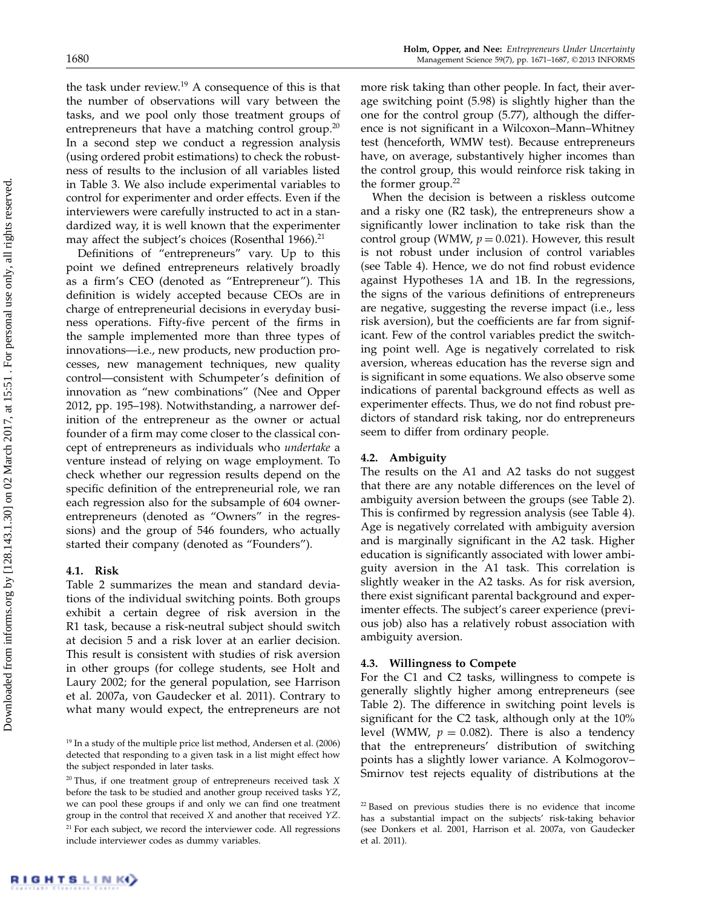the task under review.<sup>19</sup> A consequence of this is that the number of observations will vary between the tasks, and we pool only those treatment groups of entrepreneurs that have a matching control group. $^{20}$ In a second step we conduct a regression analysis (using ordered probit estimations) to check the robustness of results to the inclusion of all variables listed in Table 3. We also include experimental variables to control for experimenter and order effects. Even if the interviewers were carefully instructed to act in a standardized way, it is well known that the experimenter may affect the subject's choices (Rosenthal 1966).<sup>21</sup>

Definitions of "entrepreneurs" vary. Up to this point we defined entrepreneurs relatively broadly as a firm's CEO (denoted as "Entrepreneur"). This definition is widely accepted because CEOs are in charge of entrepreneurial decisions in everyday business operations. Fifty-five percent of the firms in the sample implemented more than three types of innovations—i.e., new products, new production processes, new management techniques, new quality control—consistent with Schumpeter's definition of innovation as "new combinations" (Nee and Opper 2012, pp. 195–198). Notwithstanding, a narrower definition of the entrepreneur as the owner or actual founder of a firm may come closer to the classical concept of entrepreneurs as individuals who undertake a venture instead of relying on wage employment. To check whether our regression results depend on the specific definition of the entrepreneurial role, we ran each regression also for the subsample of 604 ownerentrepreneurs (denoted as "Owners" in the regressions) and the group of 546 founders, who actually started their company (denoted as "Founders").

#### 4.1. Risk

Table 2 summarizes the mean and standard deviations of the individual switching points. Both groups exhibit a certain degree of risk aversion in the R1 task, because a risk-neutral subject should switch at decision 5 and a risk lover at an earlier decision. This result is consistent with studies of risk aversion in other groups (for college students, see Holt and Laury 2002; for the general population, see Harrison et al. 2007a, von Gaudecker et al. 2011). Contrary to what many would expect, the entrepreneurs are not more risk taking than other people. In fact, their average switching point (5.98) is slightly higher than the one for the control group (5.77), although the difference is not significant in a Wilcoxon–Mann–Whitney test (henceforth, WMW test). Because entrepreneurs have, on average, substantively higher incomes than the control group, this would reinforce risk taking in the former group. $22$ 

When the decision is between a riskless outcome and a risky one (R2 task), the entrepreneurs show a significantly lower inclination to take risk than the control group (WMW,  $p = 0.021$ ). However, this result is not robust under inclusion of control variables (see Table 4). Hence, we do not find robust evidence against Hypotheses 1A and 1B. In the regressions, the signs of the various definitions of entrepreneurs are negative, suggesting the reverse impact (i.e., less risk aversion), but the coefficients are far from significant. Few of the control variables predict the switching point well. Age is negatively correlated to risk aversion, whereas education has the reverse sign and is significant in some equations. We also observe some indications of parental background effects as well as experimenter effects. Thus, we do not find robust predictors of standard risk taking, nor do entrepreneurs seem to differ from ordinary people.

## 4.2. Ambiguity

The results on the A1 and A2 tasks do not suggest that there are any notable differences on the level of ambiguity aversion between the groups (see Table 2). This is confirmed by regression analysis (see Table 4). Age is negatively correlated with ambiguity aversion and is marginally significant in the A2 task. Higher education is significantly associated with lower ambiguity aversion in the A1 task. This correlation is slightly weaker in the A2 tasks. As for risk aversion, there exist significant parental background and experimenter effects. The subject's career experience (previous job) also has a relatively robust association with ambiguity aversion.

#### 4.3. Willingness to Compete

For the C1 and C2 tasks, willingness to compete is generally slightly higher among entrepreneurs (see Table 2). The difference in switching point levels is significant for the C2 task, although only at the 10% level (WMW,  $p = 0.082$ ). There is also a tendency that the entrepreneurs' distribution of switching points has a slightly lower variance. A Kolmogorov– Smirnov test rejects equality of distributions at the

<sup>&</sup>lt;sup>19</sup> In a study of the multiple price list method, Andersen et al. (2006) detected that responding to a given task in a list might effect how the subject responded in later tasks.

<sup>&</sup>lt;sup>20</sup> Thus, if one treatment group of entrepreneurs received task X before the task to be studied and another group received tasks YZ, we can pool these groups if and only we can find one treatment group in the control that received X and another that received YZ.  $21$  For each subject, we record the interviewer code. All regressions include interviewer codes as dummy variables.

<sup>&</sup>lt;sup>22</sup> Based on previous studies there is no evidence that income has a substantial impact on the subjects' risk-taking behavior (see Donkers et al. 2001, Harrison et al. 2007a, von Gaudecker et al. 2011).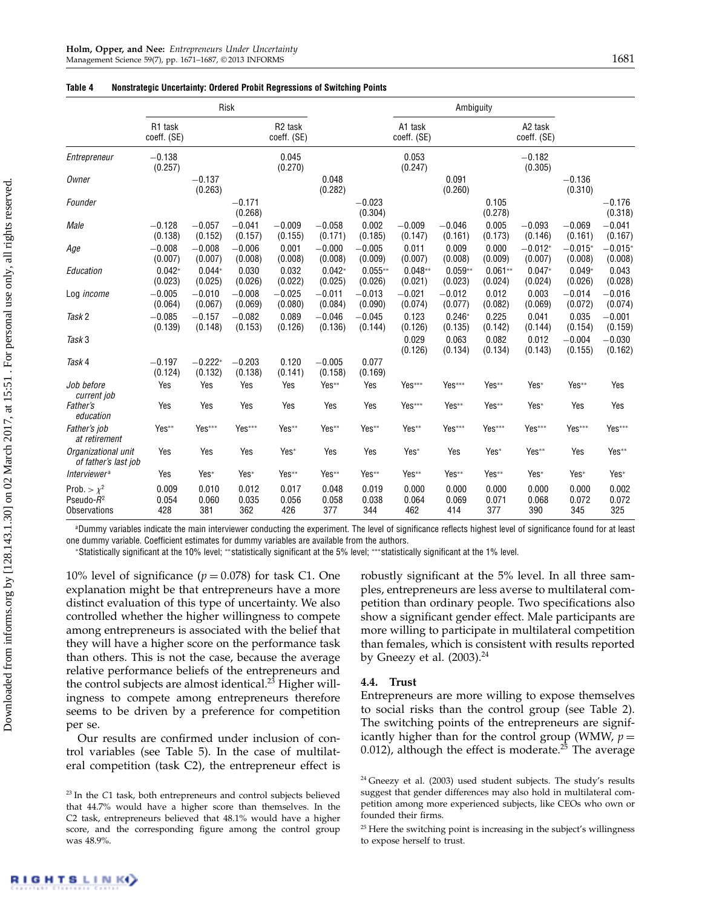|                                                       | Risk                               |                       |                       |                                    |                       |                       | Ambiguity              |                       |                       |                                    |                       |                       |
|-------------------------------------------------------|------------------------------------|-----------------------|-----------------------|------------------------------------|-----------------------|-----------------------|------------------------|-----------------------|-----------------------|------------------------------------|-----------------------|-----------------------|
|                                                       | R <sub>1</sub> task<br>coeff. (SE) |                       |                       | R <sub>2</sub> task<br>coeff. (SE) |                       |                       | A1 task<br>coeff. (SE) |                       |                       | A <sub>2</sub> task<br>coeff. (SE) |                       |                       |
| Entrepreneur                                          | $-0.138$<br>(0.257)                |                       |                       | 0.045<br>(0.270)                   |                       |                       | 0.053<br>(0.247)       |                       |                       | $-0.182$<br>(0.305)                |                       |                       |
| Owner                                                 |                                    | $-0.137$<br>(0.263)   |                       |                                    | 0.048<br>(0.282)      |                       |                        | 0.091<br>(0.260)      |                       |                                    | $-0.136$<br>(0.310)   |                       |
| Founder                                               |                                    |                       | $-0.171$<br>(0.268)   |                                    |                       | $-0.023$<br>(0.304)   |                        |                       | 0.105<br>(0.278)      |                                    |                       | $-0.176$<br>(0.318)   |
| Male                                                  | $-0.128$<br>(0.138)                | $-0.057$<br>(0.152)   | $-0.041$<br>(0.157)   | $-0.009$<br>(0.155)                | $-0.058$<br>(0.171)   | 0.002<br>(0.185)      | $-0.009$<br>(0.147)    | $-0.046$<br>(0.161)   | 0.005<br>(0.173)      | $-0.093$<br>(0.146)                | $-0.069$<br>(0.161)   | $-0.041$<br>(0.167)   |
| Age                                                   | $-0.008$<br>(0.007)                | $-0.008$<br>(0.007)   | $-0.006$<br>(0.008)   | 0.001<br>(0.008)                   | $-0.000$<br>(0.008)   | $-0.005$<br>(0.009)   | 0.011<br>(0.007)       | 0.009<br>(0.008)      | 0.000<br>(0.009)      | $-0.012*$<br>(0.007)               | $-0.015*$<br>(0.008)  | $-0.015*$<br>(0.008)  |
| Education                                             | $0.042*$<br>(0.023)                | $0.044*$<br>(0.025)   | 0.030<br>(0.026)      | 0.032<br>(0.022)                   | $0.042*$<br>(0.025)   | $0.055**$<br>(0.026)  | $0.048**$<br>(0.021)   | $0.059**$<br>(0.023)  | $0.061**$<br>(0.024)  | $0.047*$<br>(0.024)                | $0.049*$<br>(0.026)   | 0.043<br>(0.028)      |
| Log <i>income</i>                                     | $-0.005$<br>(0.064)                | $-0.010$<br>(0.067)   | $-0.008$<br>(0.069)   | $-0.025$<br>(0.080)                | $-0.011$<br>(0.084)   | $-0.013$<br>(0.090)   | $-0.021$<br>(0.074)    | $-0.012$<br>(0.077)   | 0.012<br>(0.082)      | 0.003<br>(0.069)                   | $-0.014$<br>(0.072)   | $-0.016$<br>(0.074)   |
| Task 2                                                | $-0.085$<br>(0.139)                | $-0.157$<br>(0.148)   | $-0.082$<br>(0.153)   | 0.089<br>(0.126)                   | $-0.046$<br>(0.136)   | $-0.045$<br>(0.144)   | 0.123<br>(0.126)       | $0.246*$<br>(0.135)   | 0.225<br>(0.142)      | 0.041<br>(0.144)                   | 0.035<br>(0.154)      | $-0.001$<br>(0.159)   |
| Task <sub>3</sub>                                     |                                    |                       |                       |                                    |                       |                       | 0.029<br>(0.126)       | 0.063<br>(0.134)      | 0.082<br>(0.134)      | 0.012<br>(0.143)                   | $-0.004$<br>(0.155)   | $-0.030$<br>(0.162)   |
| Task 4                                                | $-0.197$<br>(0.124)                | $-0.222*$<br>(0.132)  | $-0.203$<br>(0.138)   | 0.120<br>(0.141)                   | $-0.005$<br>(0.158)   | 0.077<br>(0.169)      |                        |                       |                       |                                    |                       |                       |
| Job before<br>current job                             | Yes                                | Yes                   | Yes                   | Yes                                | Yes**                 | Yes                   | Yes***                 | Yes***                | Yes**                 | Yes*                               | Yes**                 | Yes                   |
| Father's<br>education                                 | Yes                                | Yes                   | Yes                   | Yes                                | Yes                   | Yes                   | Yes***                 | Yes**                 | Yes**                 | Yes*                               | Yes                   | Yes                   |
| Father's job<br>at retirement                         | Yes**                              | Yes***                | Yes***                | Yes**                              | Yes**                 | Yes**                 | Yes**                  | Yes***                | Yes***                | Yes***                             | Yes***                | Yes***                |
| Organizational unit<br>of father's last job           | Yes                                | Yes                   | Yes                   | Yes*                               | Yes                   | Yes                   | Yes*                   | Yes                   | Yes*                  | Yes**                              | Yes                   | Yes**                 |
| <i>Interviewer<sup>a</sup></i>                        | Yes                                | Yes*                  | Yes*                  | Yes**                              | Yes**                 | Yes**                 | Yes**                  | Yes**                 | Yes**                 | Yes*                               | Yes*                  | Yes*                  |
| Prob. > $x^2$<br>Pseudo- $R^2$<br><b>Observations</b> | 0.009<br>0.054<br>428              | 0.010<br>0.060<br>381 | 0.012<br>0.035<br>362 | 0.017<br>0.056<br>426              | 0.048<br>0.058<br>377 | 0.019<br>0.038<br>344 | 0.000<br>0.064<br>462  | 0.000<br>0.069<br>414 | 0.000<br>0.071<br>377 | 0.000<br>0.068<br>390              | 0.000<br>0.072<br>345 | 0.002<br>0.072<br>325 |

#### Table 4 Nonstrategic Uncertainty: Ordered Probit Regressions of Switching Points

aDummy variables indicate the main interviewer conducting the experiment. The level of significance reflects highest level of significance found for at least one dummy variable. Coefficient estimates for dummy variables are available from the authors.

<sup>∗</sup>Statistically significant at the 10% level; ∗∗statistically significant at the 5% level; ∗∗∗statistically significant at the 1% level.

10% level of significance ( $p = 0.078$ ) for task C1. One explanation might be that entrepreneurs have a more distinct evaluation of this type of uncertainty. We also controlled whether the higher willingness to compete among entrepreneurs is associated with the belief that they will have a higher score on the performance task than others. This is not the case, because the average relative performance beliefs of the entrepreneurs and the control subjects are almost identical.<sup>23</sup> Higher willingness to compete among entrepreneurs therefore seems to be driven by a preference for competition per se.

Our results are confirmed under inclusion of control variables (see Table 5). In the case of multilateral competition (task C2), the entrepreneur effect is robustly significant at the 5% level. In all three samples, entrepreneurs are less averse to multilateral competition than ordinary people. Two specifications also show a significant gender effect. Male participants are more willing to participate in multilateral competition than females, which is consistent with results reported by Gneezy et al.  $(2003).^{24}$ 

#### 4.4. Trust

Entrepreneurs are more willing to expose themselves to social risks than the control group (see Table 2). The switching points of the entrepreneurs are significantly higher than for the control group (WMW,  $p =$ 0.012), although the effect is moderate.<sup>25</sup> The average

<sup>&</sup>lt;sup>23</sup> In the C1 task, both entrepreneurs and control subjects believed that 44.7% would have a higher score than themselves. In the C2 task, entrepreneurs believed that 48.1% would have a higher score, and the corresponding figure among the control group was 48.9%.

<sup>&</sup>lt;sup>24</sup> Gneezy et al. (2003) used student subjects. The study's results suggest that gender differences may also hold in multilateral competition among more experienced subjects, like CEOs who own or founded their firms.

<sup>&</sup>lt;sup>25</sup> Here the switching point is increasing in the subject's willingness to expose herself to trust.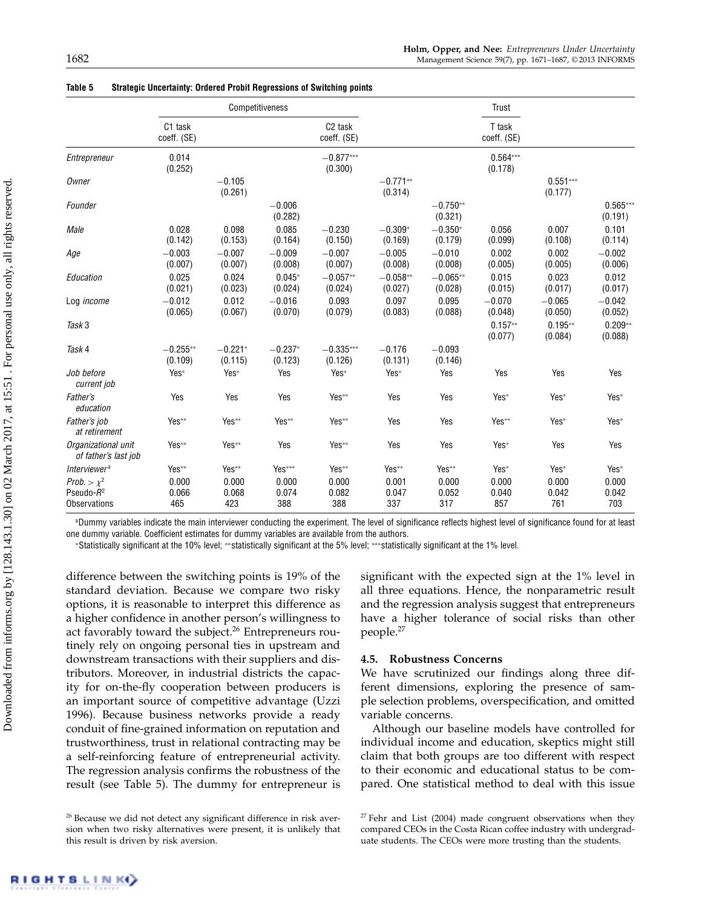|                                             |                        |                      | Competitiveness      |                                    |                       |                       | Trust                 |                       |                       |
|---------------------------------------------|------------------------|----------------------|----------------------|------------------------------------|-----------------------|-----------------------|-----------------------|-----------------------|-----------------------|
|                                             | C1 task<br>coeff. (SE) |                      |                      | C <sub>2</sub> task<br>coeff. (SE) |                       |                       | T task<br>coeff. (SE) |                       |                       |
| Entrepreneur                                | 0.014<br>(0.252)       |                      |                      | $-0.877***$<br>(0.300)             |                       |                       | $0.564***$<br>(0.178) |                       |                       |
| Owner                                       |                        | $-0.105$<br>(0.261)  |                      |                                    | $-0.771**$<br>(0.314) |                       |                       | $0.551***$<br>(0.177) |                       |
| Founder                                     |                        |                      | $-0.006$<br>(0.282)  |                                    |                       | $-0.750**$<br>(0.321) |                       |                       | $0.565***$<br>(0.191) |
| Male                                        | 0.028<br>(0.142)       | 0.098<br>(0.153)     | 0.085<br>(0.164)     | $-0.230$<br>(0.150)                | $-0.309*$<br>(0.169)  | $-0.350*$<br>(0.179)  | 0.056<br>(0.099)      | 0.007<br>(0.108)      | 0.101<br>(0.114)      |
| Age                                         | $-0.003$<br>(0.007)    | $-0.007$<br>(0.007)  | $-0.009$<br>(0.008)  | $-0.007$<br>(0.007)                | $-0.005$<br>(0.008)   | $-0.010$<br>(0.008)   | 0.002<br>(0.005)      | 0.002<br>(0.005)      | $-0.002$<br>(0.006)   |
| Education                                   | 0.025<br>(0.021)       | 0.024<br>(0.023)     | $0.045*$<br>(0.024)  | $-0.057**$<br>(0.024)              | $-0.058**$<br>(0.027) | $-0.065**$<br>(0.028) | 0.015<br>(0.015)      | 0.023<br>(0.017)      | 0.012<br>(0.017)      |
| Log <i>income</i>                           | $-0.012$<br>(0.065)    | 0.012<br>(0.067)     | $-0.016$<br>(0.070)  | 0.093<br>(0.079)                   | 0.097<br>(0.083)      | 0.095<br>(0.088)      | $-0.070$<br>(0.048)   | $-0.065$<br>(0.050)   | $-0.042$<br>(0.052)   |
| Task <sub>3</sub>                           |                        |                      |                      |                                    |                       |                       | $0.157**$<br>(0.077)  | $0.195**$<br>(0.084)  | $0.209**$<br>(0.088)  |
| Task 4                                      | $-0.255**$<br>(0.109)  | $-0.221*$<br>(0.115) | $-0.237*$<br>(0.123) | $-0.335***$<br>(0.126)             | $-0.176$<br>(0.131)   | $-0.093$<br>(0.146)   |                       |                       |                       |
| Job before<br>current job                   | Yes*                   | Yes*                 | Yes                  | Yes*                               | Yes*                  | Yes                   | Yes                   | Yes                   | Yes                   |
| Father's<br>education                       | Yes                    | Yes                  | Yes                  | Yes**                              | Yes                   | Yes                   | Yes*                  | Yes*                  | Yes*                  |
| Father's job<br>at retirement               | Yes**                  | Yes**                | Yes**                | Yes**                              | Yes                   | Yes                   | Yes**                 | Yes*                  | Yes*                  |
| Organizational unit<br>of father's last job | Yes**                  | Yes**                | Yes                  | Yes**                              | Yes                   | Yes                   | Yes*                  | Yes                   | Yes                   |
| <i>Interviewer<sup>a</sup></i>              | Yes**                  | Yes**                | Yes***               | Yes**                              | Yes**                 | Yes**                 | Yes*                  | Yes*                  | Yes*                  |
| Prob. > $\chi^2$<br>Pseudo- $R^2$           | 0.000<br>0.066         | 0.000<br>0.068       | 0.000<br>0.074       | 0.000<br>0.082                     | 0.001<br>0.047        | 0.000<br>0.052        | 0.000<br>0.040        | 0.000<br>0.042        | 0.000<br>0.042        |
| <b>Observations</b>                         | 465                    | 423                  | 388                  | 388                                | 337                   | 317                   | 857                   | 761                   | 703                   |

Table 5 Strategic Uncertainty: Ordered Probit Regressions of Switching points

aDummy variables indicate the main interviewer conducting the experiment. The level of significance reflects highest level of significance found for at least one dummy variable. Coefficient estimates for dummy variables are available from the authors.

<sup>∗</sup>Statistically significant at the 10% level; ∗∗statistically significant at the 5% level; ∗∗∗statistically significant at the 1% level.

difference between the switching points is 19% of the standard deviation. Because we compare two risky options, it is reasonable to interpret this difference as a higher confidence in another person's willingness to act favorably toward the subject.<sup>26</sup> Entrepreneurs routinely rely on ongoing personal ties in upstream and downstream transactions with their suppliers and distributors. Moreover, in industrial districts the capacity for on-the-fly cooperation between producers is an important source of competitive advantage (Uzzi 1996). Because business networks provide a ready conduit of fine-grained information on reputation and trustworthiness, trust in relational contracting may be a self-reinforcing feature of entrepreneurial activity. The regression analysis confirms the robustness of the result (see Table 5). The dummy for entrepreneur is significant with the expected sign at the 1% level in all three equations. Hence, the nonparametric result and the regression analysis suggest that entrepreneurs have a higher tolerance of social risks than other people.<sup>27</sup>

#### 4.5. Robustness Concerns

We have scrutinized our findings along three different dimensions, exploring the presence of sample selection problems, overspecification, and omitted variable concerns.

Although our baseline models have controlled for individual income and education, skeptics might still claim that both groups are too different with respect to their economic and educational status to be compared. One statistical method to deal with this issue

<sup>&</sup>lt;sup>26</sup> Because we did not detect any significant difference in risk aversion when two risky alternatives were present, it is unlikely that this result is driven by risk aversion.

 $27$  Fehr and List (2004) made congruent observations when they compared CEOs in the Costa Rican coffee industry with undergraduate students. The CEOs were more trusting than the students.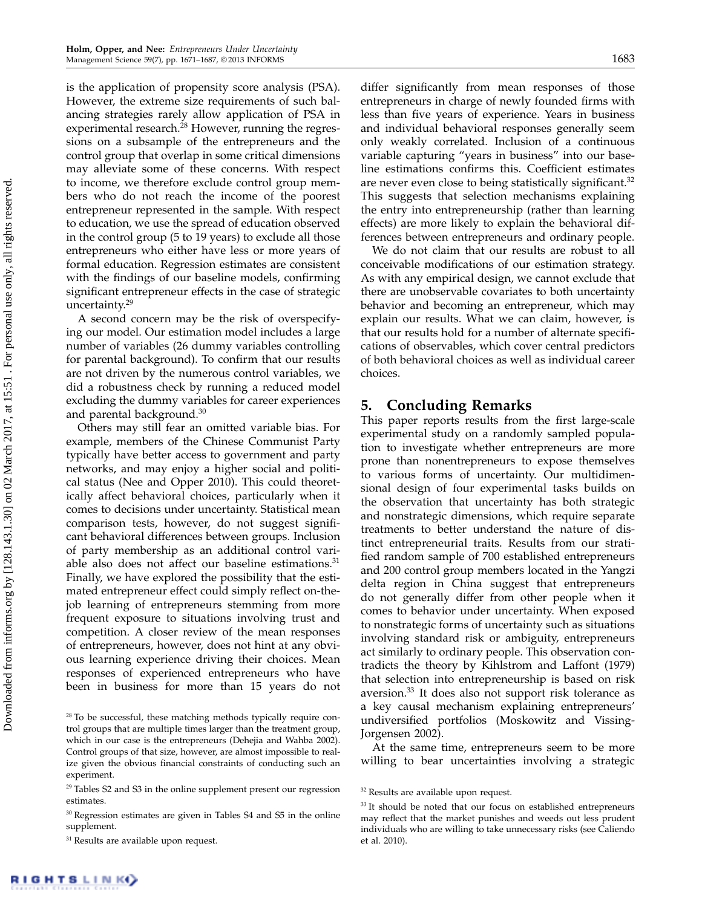is the application of propensity score analysis (PSA). However, the extreme size requirements of such balancing strategies rarely allow application of PSA in experimental research.<sup>28</sup> However, running the regressions on a subsample of the entrepreneurs and the control group that overlap in some critical dimensions may alleviate some of these concerns. With respect to income, we therefore exclude control group members who do not reach the income of the poorest entrepreneur represented in the sample. With respect to education, we use the spread of education observed in the control group (5 to 19 years) to exclude all those entrepreneurs who either have less or more years of formal education. Regression estimates are consistent with the findings of our baseline models, confirming significant entrepreneur effects in the case of strategic uncertainty.<sup>29</sup>

A second concern may be the risk of overspecifying our model. Our estimation model includes a large number of variables (26 dummy variables controlling for parental background). To confirm that our results are not driven by the numerous control variables, we did a robustness check by running a reduced model excluding the dummy variables for career experiences and parental background.<sup>30</sup>

Others may still fear an omitted variable bias. For example, members of the Chinese Communist Party typically have better access to government and party networks, and may enjoy a higher social and political status (Nee and Opper 2010). This could theoretically affect behavioral choices, particularly when it comes to decisions under uncertainty. Statistical mean comparison tests, however, do not suggest significant behavioral differences between groups. Inclusion of party membership as an additional control variable also does not affect our baseline estimations. $31$ Finally, we have explored the possibility that the estimated entrepreneur effect could simply reflect on-thejob learning of entrepreneurs stemming from more frequent exposure to situations involving trust and competition. A closer review of the mean responses of entrepreneurs, however, does not hint at any obvious learning experience driving their choices. Mean responses of experienced entrepreneurs who have been in business for more than 15 years do not differ significantly from mean responses of those entrepreneurs in charge of newly founded firms with less than five years of experience. Years in business and individual behavioral responses generally seem only weakly correlated. Inclusion of a continuous variable capturing "years in business" into our baseline estimations confirms this. Coefficient estimates are never even close to being statistically significant.<sup>32</sup> This suggests that selection mechanisms explaining the entry into entrepreneurship (rather than learning effects) are more likely to explain the behavioral differences between entrepreneurs and ordinary people.

We do not claim that our results are robust to all conceivable modifications of our estimation strategy. As with any empirical design, we cannot exclude that there are unobservable covariates to both uncertainty behavior and becoming an entrepreneur, which may explain our results. What we can claim, however, is that our results hold for a number of alternate specifications of observables, which cover central predictors of both behavioral choices as well as individual career choices.

## 5. Concluding Remarks

This paper reports results from the first large-scale experimental study on a randomly sampled population to investigate whether entrepreneurs are more prone than nonentrepreneurs to expose themselves to various forms of uncertainty. Our multidimensional design of four experimental tasks builds on the observation that uncertainty has both strategic and nonstrategic dimensions, which require separate treatments to better understand the nature of distinct entrepreneurial traits. Results from our stratified random sample of 700 established entrepreneurs and 200 control group members located in the Yangzi delta region in China suggest that entrepreneurs do not generally differ from other people when it comes to behavior under uncertainty. When exposed to nonstrategic forms of uncertainty such as situations involving standard risk or ambiguity, entrepreneurs act similarly to ordinary people. This observation contradicts the theory by Kihlstrom and Laffont (1979) that selection into entrepreneurship is based on risk aversion.<sup>33</sup> It does also not support risk tolerance as a key causal mechanism explaining entrepreneurs' undiversified portfolios (Moskowitz and Vissing-Jorgensen 2002).

At the same time, entrepreneurs seem to be more willing to bear uncertainties involving a strategic

<sup>&</sup>lt;sup>28</sup> To be successful, these matching methods typically require control groups that are multiple times larger than the treatment group, which in our case is the entrepreneurs (Dehejia and Wahba 2002). Control groups of that size, however, are almost impossible to realize given the obvious financial constraints of conducting such an experiment.

 $29$  Tables S2 and S3 in the online supplement present our regression estimates

 $30$  Regression estimates are given in Tables S4 and S5 in the online supplement.

<sup>&</sup>lt;sup>31</sup> Results are available upon request.

<sup>&</sup>lt;sup>32</sup> Results are available upon request.

<sup>&</sup>lt;sup>33</sup> It should be noted that our focus on established entrepreneurs may reflect that the market punishes and weeds out less prudent individuals who are willing to take unnecessary risks (see Caliendo et al. 2010).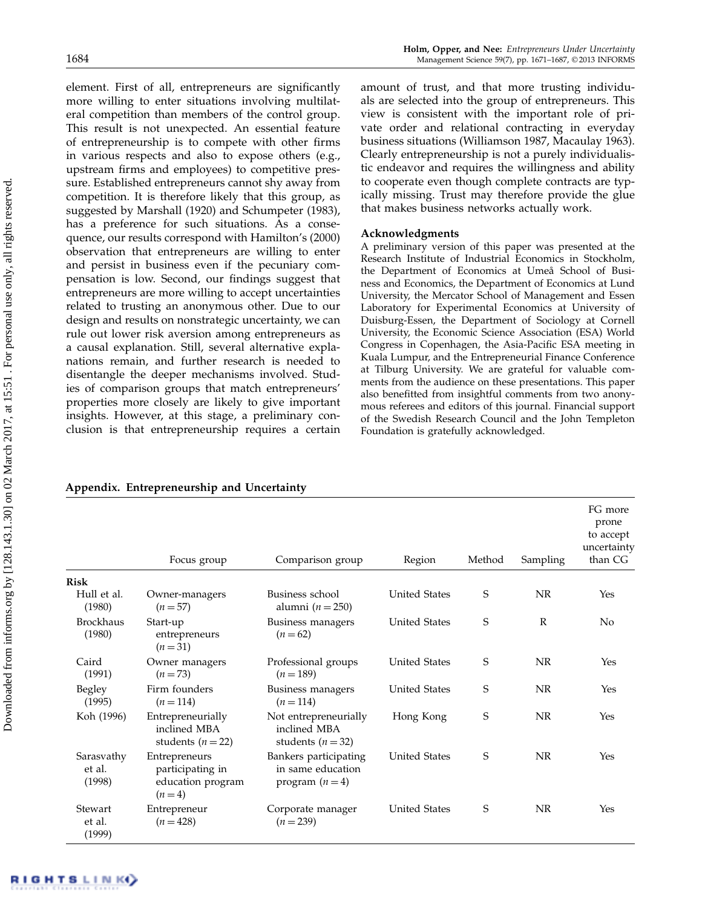element. First of all, entrepreneurs are significantly more willing to enter situations involving multilateral competition than members of the control group. This result is not unexpected. An essential feature of entrepreneurship is to compete with other firms in various respects and also to expose others (e.g., upstream firms and employees) to competitive pressure. Established entrepreneurs cannot shy away from competition. It is therefore likely that this group, as suggested by Marshall (1920) and Schumpeter (1983), has a preference for such situations. As a consequence, our results correspond with Hamilton's (2000) observation that entrepreneurs are willing to enter and persist in business even if the pecuniary compensation is low. Second, our findings suggest that entrepreneurs are more willing to accept uncertainties related to trusting an anonymous other. Due to our design and results on nonstrategic uncertainty, we can rule out lower risk aversion among entrepreneurs as a causal explanation. Still, several alternative explanations remain, and further research is needed to disentangle the deeper mechanisms involved. Studies of comparison groups that match entrepreneurs' properties more closely are likely to give important insights. However, at this stage, a preliminary conclusion is that entrepreneurship requires a certain amount of trust, and that more trusting individuals are selected into the group of entrepreneurs. This view is consistent with the important role of private order and relational contracting in everyday business situations (Williamson 1987, Macaulay 1963). Clearly entrepreneurship is not a purely individualistic endeavor and requires the willingness and ability to cooperate even though complete contracts are typically missing. Trust may therefore provide the glue that makes business networks actually work.

#### Acknowledgments

A preliminary version of this paper was presented at the Research Institute of Industrial Economics in Stockholm, the Department of Economics at Umeå School of Business and Economics, the Department of Economics at Lund University, the Mercator School of Management and Essen Laboratory for Experimental Economics at University of Duisburg-Essen, the Department of Sociology at Cornell University, the Economic Science Association (ESA) World Congress in Copenhagen, the Asia-Pacific ESA meeting in Kuala Lumpur, and the Entrepreneurial Finance Conference at Tilburg University. We are grateful for valuable comments from the audience on these presentations. This paper also benefitted from insightful comments from two anonymous referees and editors of this journal. Financial support of the Swedish Research Council and the John Templeton Foundation is gratefully acknowledged.

|                                | Focus group                                                       | Comparison group                                              | Region               | Method | Sampling     | FG more<br>prone<br>to accept<br>uncertainty<br>than CG |
|--------------------------------|-------------------------------------------------------------------|---------------------------------------------------------------|----------------------|--------|--------------|---------------------------------------------------------|
| <b>Risk</b>                    |                                                                   |                                                               |                      |        |              |                                                         |
| Hull et al.<br>(1980)          | Owner-managers<br>$(n = 57)$                                      | Business school<br>alumni $(n = 250)$                         | <b>United States</b> | S      | <b>NR</b>    | Yes                                                     |
| <b>Brockhaus</b><br>(1980)     | Start-up<br>entrepreneurs<br>$(n=31)$                             | Business managers<br>$(n=62)$                                 | <b>United States</b> | S      | $\mathbb{R}$ | No                                                      |
| Caird<br>(1991)                | Owner managers<br>$(n=73)$                                        | Professional groups<br>$(n=189)$                              | <b>United States</b> | S      | NR           | Yes                                                     |
| <b>Begley</b><br>(1995)        | Firm founders<br>$(n = 114)$                                      | Business managers<br>$(n=114)$                                | <b>United States</b> | S      | NR           | Yes                                                     |
| Koh (1996)                     | Entrepreneurially<br>inclined MBA<br>students ( $n = 22$ )        | Not entrepreneurially<br>inclined MBA<br>students $(n=32)$    | Hong Kong            | S      | <b>NR</b>    | Yes                                                     |
| Sarasvathy<br>et al.<br>(1998) | Entrepreneurs<br>participating in<br>education program<br>$(n=4)$ | Bankers participating<br>in same education<br>program $(n=4)$ | <b>United States</b> | S      | NR           | Yes                                                     |
| Stewart<br>et al.<br>(1999)    | Entrepreneur<br>$(n = 428)$                                       | Corporate manager<br>$(n = 239)$                              | <b>United States</b> | S      | NR           | Yes                                                     |

## Appendix. Entrepreneurship and Uncertainty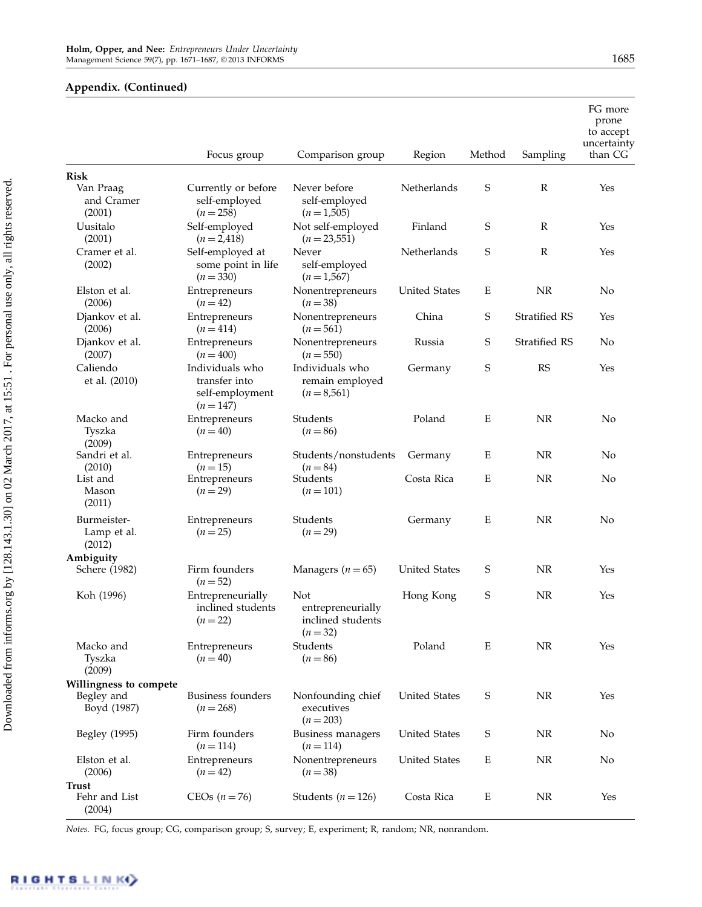## Appendix. (Continued)

|                                                     | Focus group                                                        | Comparison group                                          | Region               | Method | Sampling      | FG more<br>prone<br>to accept<br>uncertainty<br>than CG |
|-----------------------------------------------------|--------------------------------------------------------------------|-----------------------------------------------------------|----------------------|--------|---------------|---------------------------------------------------------|
|                                                     |                                                                    |                                                           |                      |        |               |                                                         |
| <b>Risk</b><br>Van Praag<br>and Cramer<br>(2001)    | Currently or before<br>self-employed<br>$(n = 258)$                | Never before<br>self-employed<br>$(n=1,505)$              | Netherlands          | S      | $\mathbb{R}$  | Yes                                                     |
| Uusitalo<br>(2001)                                  | Self-employed<br>$(n=2,418)$                                       | Not self-employed<br>$(n = 23,551)$                       | Finland              | S      | R             | Yes                                                     |
| Cramer et al.<br>(2002)                             | Self-employed at<br>some point in life<br>$(n = 330)$              | Never<br>self-employed<br>$(n=1,567)$                     | Netherlands          | S      | $\mathbb{R}$  | Yes                                                     |
| Elston et al.<br>(2006)                             | Entrepreneurs<br>$(n=42)$                                          | Nonentrepreneurs<br>$(n=38)$                              | <b>United States</b> | Ε      | NR            | No                                                      |
| Djankov et al.<br>(2006)                            | Entrepreneurs<br>$(n=414)$                                         | Nonentrepreneurs<br>$(n = 561)$                           | China                | S      | Stratified RS | Yes                                                     |
| Djankov et al.<br>(2007)                            | Entrepreneurs<br>$(n = 400)$                                       | Nonentrepreneurs<br>$(n = 550)$                           | Russia               | S      | Stratified RS | No                                                      |
| Caliendo<br>et al. (2010)                           | Individuals who<br>transfer into<br>self-employment<br>$(n = 147)$ | Individuals who<br>remain employed<br>$(n=8,561)$         | Germany              | S      | <b>RS</b>     | Yes                                                     |
| Macko and<br>Tyszka<br>(2009)                       | Entrepreneurs<br>$(n=40)$                                          | Students<br>$(n = 86)$                                    | Poland               | E      | NR            | No                                                      |
| Sandri et al.<br>(2010)                             | Entrepreneurs<br>$(n=15)$                                          | Students/nonstudents<br>$(n = 84)$                        | Germany              | Ε      | NR            | No                                                      |
| List and<br>Mason<br>(2011)                         | Entrepreneurs<br>$(n = 29)$                                        | Students<br>$(n = 101)$                                   | Costa Rica           | E      | NR            | No                                                      |
| Burmeister-<br>Lamp et al.<br>(2012)                | Entrepreneurs<br>$(n=25)$                                          | Students<br>$(n = 29)$                                    | Germany              | Ε      | NR            | No                                                      |
| Ambiguity<br>Schere (1982)                          | Firm founders<br>$(n=52)$                                          | Managers ( $n = 65$ )                                     | <b>United States</b> | S      | NR            | Yes                                                     |
| Koh (1996)                                          | Entrepreneurially<br>inclined students<br>$(n = 22)$               | Not<br>entrepreneurially<br>inclined students<br>$(n=32)$ | Hong Kong            | S      | NR            | Yes                                                     |
| Macko and<br>Tyszka<br>(2009)                       | Entrepreneurs<br>$(n=40)$                                          | Students<br>$(n = 86)$                                    | Poland               | Ε      | <b>NR</b>     | Yes                                                     |
| Willingness to compete<br>Begley and<br>Boyd (1987) | Business founders<br>$(n = 268)$                                   | Nonfounding chief<br>executives<br>$(n = 203)$            | <b>United States</b> | S      | <b>NR</b>     | Yes                                                     |
| Begley (1995)                                       | Firm founders<br>$(n = 114)$                                       | Business managers<br>$(n = 114)$                          | <b>United States</b> | S      | <b>NR</b>     | No                                                      |
| Elston et al.<br>(2006)                             | Entrepreneurs<br>$(n=42)$                                          | Nonentrepreneurs<br>$(n=38)$                              | <b>United States</b> | Ε      | <b>NR</b>     | No                                                      |
| <b>Trust</b><br>Fehr and List<br>(2004)             | CEOs $(n=76)$                                                      | Students ( $n = 126$ )                                    | Costa Rica           | Ε      | <b>NR</b>     | Yes                                                     |

Notes. FG, focus group; CG, comparison group; S, survey; E, experiment; R, random; NR, nonrandom.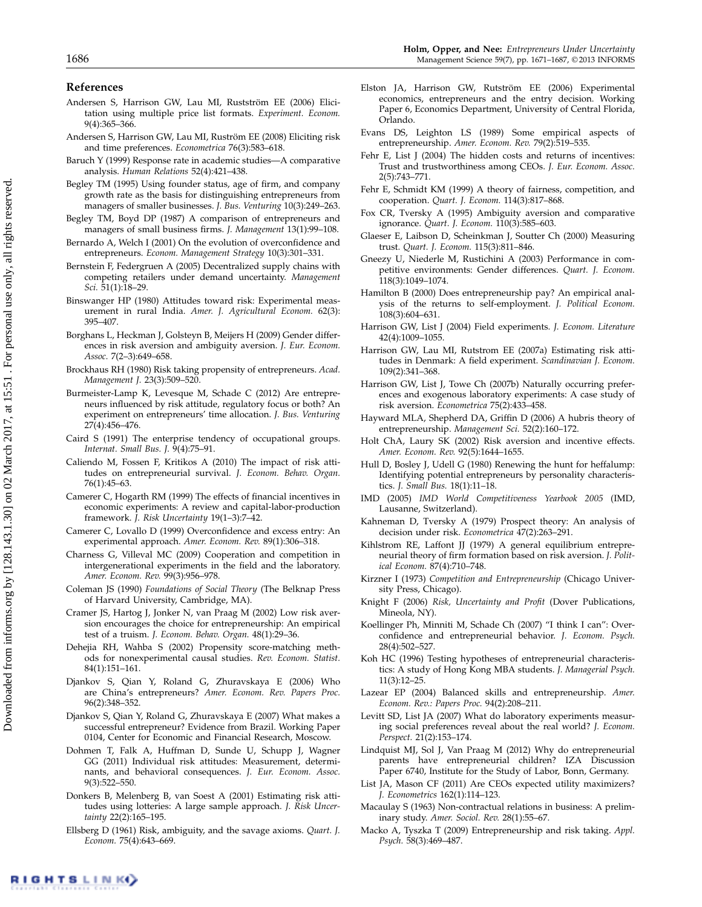#### References

- Andersen S, Harrison GW, Lau MI, Rustström EE (2006) Elicitation using multiple price list formats. Experiment. Econom. 9(4):365–366.
- Andersen S, Harrison GW, Lau MI, Ruström EE (2008) Eliciting risk and time preferences. Econometrica 76(3):583–618.
- Baruch Y (1999) Response rate in academic studies—A comparative analysis. Human Relations 52(4):421–438.
- Begley TM (1995) Using founder status, age of firm, and company growth rate as the basis for distinguishing entrepreneurs from managers of smaller businesses. J. Bus. Venturing 10(3):249–263.
- Begley TM, Boyd DP (1987) A comparison of entrepreneurs and managers of small business firms. J. Management 13(1):99–108.
- Bernardo A, Welch I (2001) On the evolution of overconfidence and entrepreneurs. Econom. Management Strategy 10(3):301–331.
- Bernstein F, Federgruen A (2005) Decentralized supply chains with competing retailers under demand uncertainty. Management Sci. 51(1):18–29.
- Binswanger HP (1980) Attitudes toward risk: Experimental measurement in rural India. Amer. J. Agricultural Econom. 62(3): 395–407.
- Borghans L, Heckman J, Golsteyn B, Meijers H (2009) Gender differences in risk aversion and ambiguity aversion. J. Eur. Econom. Assoc. 7(2–3):649–658.
- Brockhaus RH (1980) Risk taking propensity of entrepreneurs. Acad. Management J. 23(3):509–520.
- Burmeister-Lamp K, Levesque M, Schade C (2012) Are entrepreneurs influenced by risk attitude, regulatory focus or both? An experiment on entrepreneurs' time allocation. J. Bus. Venturing 27(4):456–476.
- Caird S (1991) The enterprise tendency of occupational groups. Internat. Small Bus. J. 9(4):75–91.
- Caliendo M, Fossen F, Kritikos A (2010) The impact of risk attitudes on entrepreneurial survival. J. Econom. Behav. Organ. 76(1):45–63.
- Camerer C, Hogarth RM (1999) The effects of financial incentives in economic experiments: A review and capital-labor-production framework. J. Risk Uncertainty 19(1–3):7–42.
- Camerer C, Lovallo D (1999) Overconfidence and excess entry: An experimental approach. Amer. Econom. Rev. 89(1):306–318.
- Charness G, Villeval MC (2009) Cooperation and competition in intergenerational experiments in the field and the laboratory. Amer. Econom. Rev. 99(3):956–978.
- Coleman JS (1990) Foundations of Social Theory (The Belknap Press of Harvard University, Cambridge, MA).
- Cramer JS, Hartog J, Jonker N, van Praag M (2002) Low risk aversion encourages the choice for entrepreneurship: An empirical test of a truism. J. Econom. Behav. Organ. 48(1):29–36.
- Dehejia RH, Wahba S (2002) Propensity score-matching methods for nonexperimental causal studies. Rev. Econom. Statist. 84(1):151–161.
- Djankov S, Qian Y, Roland G, Zhuravskaya E (2006) Who are China's entrepreneurs? Amer. Econom. Rev. Papers Proc. 96(2):348–352.
- Djankov S, Qian Y, Roland G, Zhuravskaya E (2007) What makes a successful entrepreneur? Evidence from Brazil. Working Paper 0104, Center for Economic and Financial Research, Moscow.
- Dohmen T, Falk A, Huffman D, Sunde U, Schupp J, Wagner GG (2011) Individual risk attitudes: Measurement, determinants, and behavioral consequences. J. Eur. Econom. Assoc. 9(3):522–550.
- Donkers B, Melenberg B, van Soest A (2001) Estimating risk attitudes using lotteries: A large sample approach. J. Risk Uncertainty 22(2):165–195.
- Ellsberg D (1961) Risk, ambiguity, and the savage axioms. Quart. J. Econom. 75(4):643–669.
- Elston JA, Harrison GW, Rutström EE (2006) Experimental economics, entrepreneurs and the entry decision. Working Paper 6, Economics Department, University of Central Florida, Orlando.
- Evans DS, Leighton LS (1989) Some empirical aspects of entrepreneurship. Amer. Econom. Rev. 79(2):519–535.
- Fehr E, List J (2004) The hidden costs and returns of incentives: Trust and trustworthiness among CEOs. J. Eur. Econom. Assoc. 2(5):743–771.
- Fehr E, Schmidt KM (1999) A theory of fairness, competition, and cooperation. Quart. J. Econom. 114(3):817–868.
- Fox CR, Tversky A (1995) Ambiguity aversion and comparative ignorance. Quart. J. Econom. 110(3):585–603.
- Glaeser E, Laibson D, Scheinkman J, Soutter Ch (2000) Measuring trust. Quart. J. Econom. 115(3):811–846.
- Gneezy U, Niederle M, Rustichini A (2003) Performance in competitive environments: Gender differences. Quart. J. Econom. 118(3):1049–1074.
- Hamilton B (2000) Does entrepreneurship pay? An empirical analysis of the returns to self-employment. J. Political Econom. 108(3):604–631.
- Harrison GW, List J (2004) Field experiments. J. Econom. Literature 42(4):1009–1055.
- Harrison GW, Lau MI, Rutstrom EE (2007a) Estimating risk attitudes in Denmark: A field experiment. Scandinavian J. Econom. 109(2):341–368.
- Harrison GW, List J, Towe Ch (2007b) Naturally occurring preferences and exogenous laboratory experiments: A case study of risk aversion. Econometrica 75(2):433–458.
- Hayward MLA, Shepherd DA, Griffin D (2006) A hubris theory of entrepreneurship. Management Sci. 52(2):160–172.
- Holt ChA, Laury SK (2002) Risk aversion and incentive effects. Amer. Econom. Rev. 92(5):1644–1655.
- Hull D, Bosley J, Udell G (1980) Renewing the hunt for heffalump: Identifying potential entrepreneurs by personality characteristics. J. Small Bus. 18(1):11–18.
- IMD (2005) IMD World Competitiveness Yearbook 2005 (IMD, Lausanne, Switzerland).
- Kahneman D, Tversky A (1979) Prospect theory: An analysis of decision under risk. Econometrica 47(2):263–291.
- Kihlstrom RE, Laffont JJ (1979) A general equilibrium entrepreneurial theory of firm formation based on risk aversion. J. Political Econom. 87(4):710–748.
- Kirzner I (1973) Competition and Entrepreneurship (Chicago University Press, Chicago).
- Knight F (2006) Risk, Uncertainty and Profit (Dover Publications, Mineola, NY).
- Koellinger Ph, Minniti M, Schade Ch (2007) "I think I can": Overconfidence and entrepreneurial behavior. J. Econom. Psych. 28(4):502–527.
- Koh HC (1996) Testing hypotheses of entrepreneurial characteristics: A study of Hong Kong MBA students. J. Managerial Psych. 11(3):12–25.
- Lazear EP (2004) Balanced skills and entrepreneurship. Amer. Econom. Rev.: Papers Proc. 94(2):208–211.
- Levitt SD, List JA (2007) What do laboratory experiments measuring social preferences reveal about the real world? J. Econom. Perspect. 21(2):153–174.
- Lindquist MJ, Sol J, Van Praag M (2012) Why do entrepreneurial parents have entrepreneurial children? IZA Discussion Paper 6740, Institute for the Study of Labor, Bonn, Germany.
- List JA, Mason CF (2011) Are CEOs expected utility maximizers? J. Econometrics 162(1):114–123.
- Macaulay S (1963) Non-contractual relations in business: A preliminary study. Amer. Sociol. Rev. 28(1):55–67.
- Macko A, Tyszka T (2009) Entrepreneurship and risk taking. Appl. Psych. 58(3):469–487.